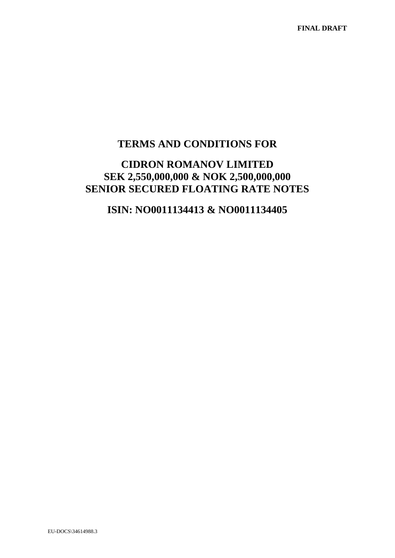# **TERMS AND CONDITIONS FOR**

# **CIDRON ROMANOV LIMITED SEK 2,550,000,000 & NOK 2,500,000,000 SENIOR SECURED FLOATING RATE NOTES**

# **ISIN: NO0011134413 & NO0011134405**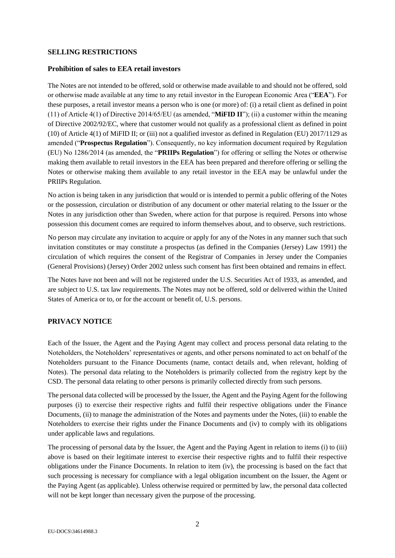#### **SELLING RESTRICTIONS**

#### **Prohibition of sales to EEA retail investors**

The Notes are not intended to be offered, sold or otherwise made available to and should not be offered, sold or otherwise made available at any time to any retail investor in the European Economic Area ("**EEA**"). For these purposes, a retail investor means a person who is one (or more) of: (i) a retail client as defined in point (11) of Article 4(1) of Directive 2014/65/EU (as amended, "**MiFID II**"); (ii) a customer within the meaning of Directive 2002/92/EC, where that customer would not qualify as a professional client as defined in point (10) of Article 4(1) of MiFID II; or (iii) not a qualified investor as defined in Regulation (EU) 2017/1129 as amended ("**Prospectus Regulation**"). Consequently, no key information document required by Regulation (EU) No 1286/2014 (as amended, the "**PRIIPs Regulation**") for offering or selling the Notes or otherwise making them available to retail investors in the EEA has been prepared and therefore offering or selling the Notes or otherwise making them available to any retail investor in the EEA may be unlawful under the PRIIPs Regulation.

No action is being taken in any jurisdiction that would or is intended to permit a public offering of the Notes or the possession, circulation or distribution of any document or other material relating to the Issuer or the Notes in any jurisdiction other than Sweden, where action for that purpose is required. Persons into whose possession this document comes are required to inform themselves about, and to observe, such restrictions.

No person may circulate any invitation to acquire or apply for any of the Notes in any manner such that such invitation constitutes or may constitute a prospectus (as defined in the Companies (Jersey) Law 1991) the circulation of which requires the consent of the Registrar of Companies in Jersey under the Companies (General Provisions) (Jersey) Order 2002 unless such consent has first been obtained and remains in effect.

The Notes have not been and will not be registered under the U.S. Securities Act of 1933, as amended, and are subject to U.S. tax law requirements. The Notes may not be offered, sold or delivered within the United States of America or to, or for the account or benefit of, U.S. persons.

# **PRIVACY NOTICE**

Each of the Issuer, the Agent and the Paying Agent may collect and process personal data relating to the Noteholders, the Noteholders' representatives or agents, and other persons nominated to act on behalf of the Noteholders pursuant to the Finance Documents (name, contact details and, when relevant, holding of Notes). The personal data relating to the Noteholders is primarily collected from the registry kept by the CSD. The personal data relating to other persons is primarily collected directly from such persons.

The personal data collected will be processed by the Issuer, the Agent and the Paying Agent for the following purposes (i) to exercise their respective rights and fulfil their respective obligations under the Finance Documents, (ii) to manage the administration of the Notes and payments under the Notes, (iii) to enable the Noteholders to exercise their rights under the Finance Documents and (iv) to comply with its obligations under applicable laws and regulations.

The processing of personal data by the Issuer, the Agent and the Paying Agent in relation to items (i) to (iii) above is based on their legitimate interest to exercise their respective rights and to fulfil their respective obligations under the Finance Documents. In relation to item (iv), the processing is based on the fact that such processing is necessary for compliance with a legal obligation incumbent on the Issuer, the Agent or the Paying Agent (as applicable). Unless otherwise required or permitted by law, the personal data collected will not be kept longer than necessary given the purpose of the processing.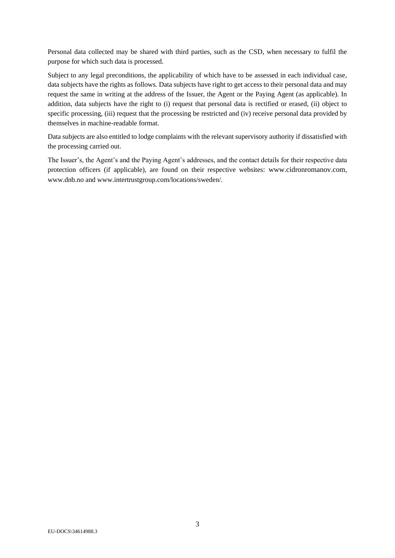Personal data collected may be shared with third parties, such as the CSD, when necessary to fulfil the purpose for which such data is processed.

Subject to any legal preconditions, the applicability of which have to be assessed in each individual case, data subjects have the rights as follows. Data subjects have right to get access to their personal data and may request the same in writing at the address of the Issuer, the Agent or the Paying Agent (as applicable). In addition, data subjects have the right to (i) request that personal data is rectified or erased, (ii) object to specific processing, (iii) request that the processing be restricted and (iv) receive personal data provided by themselves in machine-readable format.

Data subjects are also entitled to lodge complaints with the relevant supervisory authority if dissatisfied with the processing carried out.

The Issuer's, the Agent's and the Paying Agent's addresses, and the contact details for their respective data protection officers (if applicable), are found on their respective websites: [ww](http://www.cidronhumber.com/)w.cidronromanov.com, www.dnb.no and www.intertrustgroup.com/locations/sweden/.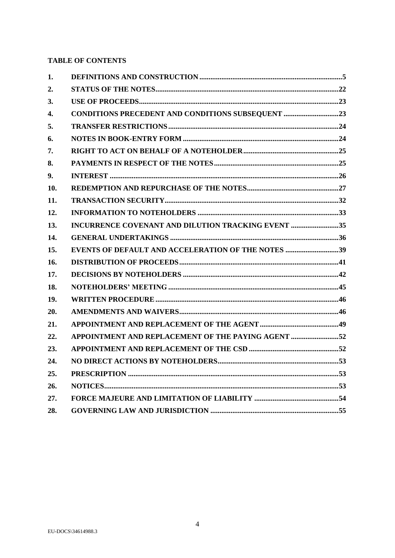# **TABLE OF CONTENTS**

| 1.  |                                                           |  |
|-----|-----------------------------------------------------------|--|
| 2.  |                                                           |  |
| 3.  |                                                           |  |
| 4.  | <b>CONDITIONS PRECEDENT AND CONDITIONS SUBSEQUENT 23</b>  |  |
| 5.  |                                                           |  |
| 6.  |                                                           |  |
| 7.  |                                                           |  |
| 8.  |                                                           |  |
| 9.  |                                                           |  |
| 10. |                                                           |  |
| 11. |                                                           |  |
| 12. |                                                           |  |
| 13. | <b>INCURRENCE COVENANT AND DILUTION TRACKING EVENT 35</b> |  |
| 14. |                                                           |  |
| 15. | EVENTS OF DEFAULT AND ACCELERATION OF THE NOTES 39        |  |
| 16. |                                                           |  |
| 17. |                                                           |  |
| 18. |                                                           |  |
| 19. |                                                           |  |
| 20. |                                                           |  |
| 21. |                                                           |  |
| 22. | APPOINTMENT AND REPLACEMENT OF THE PAYING AGENT 52        |  |
| 23. |                                                           |  |
| 24. |                                                           |  |
| 25. |                                                           |  |
| 26. |                                                           |  |
| 27. |                                                           |  |
| 28. |                                                           |  |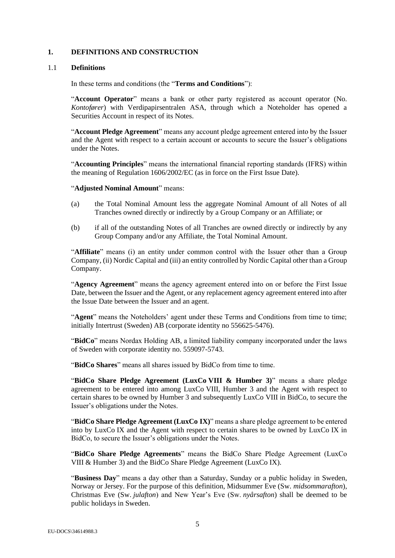# **1. DEFINITIONS AND CONSTRUCTION**

# 1.1 **Definitions**

In these terms and conditions (the "**Terms and Conditions**"):

"**Account Operator**" means a bank or other party registered as account operator (No. *Kontofører*) with Verdipapirsentralen ASA, through which a Noteholder has opened a Securities Account in respect of its Notes.

"**Account Pledge Agreement**" means any account pledge agreement entered into by the Issuer and the Agent with respect to a certain account or accounts to secure the Issuer's obligations under the Notes.

"**Accounting Principles**" means the international financial reporting standards (IFRS) within the meaning of Regulation 1606/2002/EC (as in force on the First Issue Date).

#### "**Adjusted Nominal Amount**" means:

- (a) the Total Nominal Amount less the aggregate Nominal Amount of all Notes of all Tranches owned directly or indirectly by a Group Company or an Affiliate; or
- (b) if all of the outstanding Notes of all Tranches are owned directly or indirectly by any Group Company and/or any Affiliate, the Total Nominal Amount.

"**Affiliate**" means (i) an entity under common control with the Issuer other than a Group Company, (ii) Nordic Capital and (iii) an entity controlled by Nordic Capital other than a Group Company.

"**Agency Agreement**" means the agency agreement entered into on or before the First Issue Date, between the Issuer and the Agent, or any replacement agency agreement entered into after the Issue Date between the Issuer and an agent.

"**Agent**" means the Noteholders' agent under these Terms and Conditions from time to time; initially Intertrust (Sweden) AB (corporate identity no 556625-5476).

"**BidCo**" means Nordax Holding AB, a limited liability company incorporated under the laws of Sweden with corporate identity no. 559097-5743.

"**BidCo Shares**" means all shares issued by BidCo from time to time.

"**BidCo Share Pledge Agreement (LuxCo VIII & Humber 3)**" means a share pledge agreement to be entered into among LuxCo VIII, Humber 3 and the Agent with respect to certain shares to be owned by Humber 3 and subsequently LuxCo VIII in BidCo, to secure the Issuer's obligations under the Notes.

"**BidCo Share Pledge Agreement (LuxCo IX)**" means a share pledge agreement to be entered into by LuxCo IX and the Agent with respect to certain shares to be owned by LuxCo IX in BidCo, to secure the Issuer's obligations under the Notes.

"**BidCo Share Pledge Agreements**" means the BidCo Share Pledge Agreement (LuxCo VIII & Humber 3) and the BidCo Share Pledge Agreement (LuxCo IX).

"**Business Day**" means a day other than a Saturday, Sunday or a public holiday in Sweden, Norway or Jersey. For the purpose of this definition, Midsummer Eve (Sw. *midsommarafton*), Christmas Eve (Sw. *julafton*) and New Year's Eve (Sw. *nyårsafton*) shall be deemed to be public holidays in Sweden.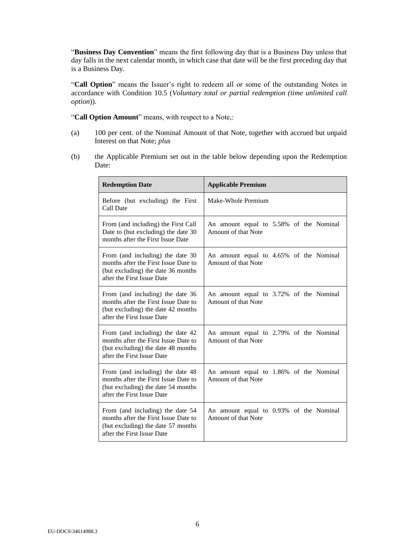"**Business Day Convention**" means the first following day that is a Business Day unless that day falls in the next calendar month, in which case that date will be the first preceding day that is a Business Day.

"**Call Option**" means the Issuer's right to redeem all or some of the outstanding Notes in accordance with Condition [10.5](#page-27-0) (*Voluntary total or partial redemption (time unlimited call option*)).

"Call Option Amount" means, with respect to a Note,:

- (a) 100 per cent. of the Nominal Amount of that Note, together with accrued but unpaid Interest on that Note; *plus*
- (b) the Applicable Premium set out in the table below depending upon the Redemption Date:

| <b>Redemption Date</b>                                                                                                                       | <b>Applicable Premium</b>                                      |
|----------------------------------------------------------------------------------------------------------------------------------------------|----------------------------------------------------------------|
| Before (but excluding) the First<br>Call Date                                                                                                | Make-Whole Premium                                             |
| From (and including) the First Call<br>Date to (but excluding) the date 30<br>months after the First Issue Date                              | An amount equal to 5.58% of the Nominal<br>Amount of that Note |
| From (and including) the date 30<br>months after the First Issue Date to<br>(but excluding) the date 36 months<br>after the First Issue Date | An amount equal to 4.65% of the Nominal<br>Amount of that Note |
| From (and including) the date 36<br>months after the First Issue Date to<br>(but excluding) the date 42 months<br>after the First Issue Date | An amount equal to 3.72% of the Nominal<br>Amount of that Note |
| From (and including) the date 42<br>months after the First Issue Date to<br>(but excluding) the date 48 months<br>after the First Issue Date | An amount equal to 2.79% of the Nominal<br>Amount of that Note |
| From (and including) the date 48<br>months after the First Issue Date to<br>(but excluding) the date 54 months<br>after the First Issue Date | An amount equal to 1.86% of the Nominal<br>Amount of that Note |
| From (and including) the date 54<br>months after the First Issue Date to<br>(but excluding) the date 57 months<br>after the First Issue Date | An amount equal to 0.93% of the Nominal<br>Amount of that Note |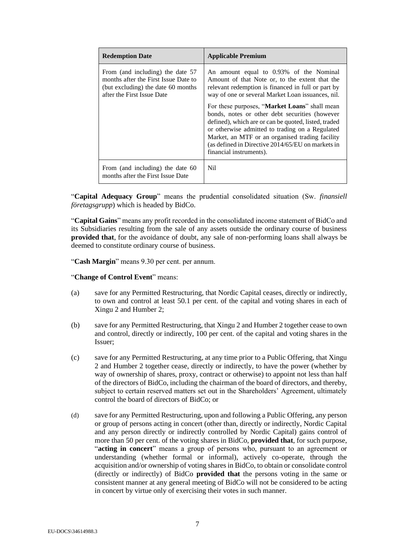| <b>Redemption Date</b>                                                                                                                       | <b>Applicable Premium</b>                                                                                                                                                                                                                                                                                                                              |
|----------------------------------------------------------------------------------------------------------------------------------------------|--------------------------------------------------------------------------------------------------------------------------------------------------------------------------------------------------------------------------------------------------------------------------------------------------------------------------------------------------------|
| From (and including) the date 57<br>months after the First Issue Date to<br>(but excluding) the date 60 months<br>after the First Issue Date | An amount equal to 0.93% of the Nominal<br>Amount of that Note or, to the extent that the<br>relevant redemption is financed in full or part by<br>way of one or several Market Loan issuances, nil.                                                                                                                                                   |
|                                                                                                                                              | For these purposes, " <b>Market Loans</b> " shall mean<br>bonds, notes or other debt securities (however<br>defined), which are or can be quoted, listed, traded<br>or otherwise admitted to trading on a Regulated<br>Market, an MTF or an organised trading facility<br>(as defined in Directive 2014/65/EU on markets in<br>financial instruments). |
| From (and including) the date 60<br>months after the First Issue Date                                                                        | Ni1                                                                                                                                                                                                                                                                                                                                                    |

"**Capital Adequacy Group**" means the prudential consolidated situation (Sw. *finansiell företagsgrupp*) which is headed by BidCo.

"**Capital Gains**" means any profit recorded in the consolidated income statement of BidCo and its Subsidiaries resulting from the sale of any assets outside the ordinary course of business **provided that**, for the avoidance of doubt, any sale of non-performing loans shall always be deemed to constitute ordinary course of business.

"**Cash Margin**" means 9.30 per cent. per annum.

"**Change of Control Event**" means:

- (a) save for any Permitted Restructuring, that Nordic Capital ceases, directly or indirectly, to own and control at least 50.1 per cent. of the capital and voting shares in each of Xingu 2 and Humber 2;
- (b) save for any Permitted Restructuring, that Xingu 2 and Humber 2 together cease to own and control, directly or indirectly, 100 per cent. of the capital and voting shares in the Issuer;
- (c) save for any Permitted Restructuring, at any time prior to a Public Offering, that Xingu 2 and Humber 2 together cease, directly or indirectly, to have the power (whether by way of ownership of shares, proxy, contract or otherwise) to appoint not less than half of the directors of BidCo, including the chairman of the board of directors, and thereby, subject to certain reserved matters set out in the Shareholders' Agreement, ultimately control the board of directors of BidCo; or
- (d) save for any Permitted Restructuring, upon and following a Public Offering, any person or group of persons acting in concert (other than, directly or indirectly, Nordic Capital and any person directly or indirectly controlled by Nordic Capital) gains control of more than 50 per cent. of the voting shares in BidCo, **provided that**, for such purpose, "**acting in concert**" means a group of persons who, pursuant to an agreement or understanding (whether formal or informal), actively co-operate, through the acquisition and/or ownership of voting shares in BidCo, to obtain or consolidate control (directly or indirectly) of BidCo **provided that** the persons voting in the same or consistent manner at any general meeting of BidCo will not be considered to be acting in concert by virtue only of exercising their votes in such manner.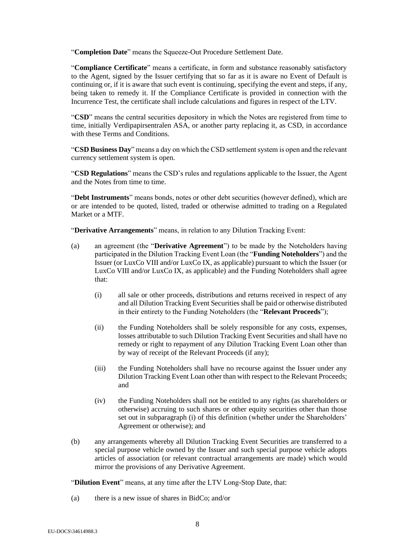"**Completion Date**" means the Squeeze-Out Procedure Settlement Date.

"**Compliance Certificate**" means a certificate, in form and substance reasonably satisfactory to the Agent, signed by the Issuer certifying that so far as it is aware no Event of Default is continuing or, if it is aware that such event is continuing, specifying the event and steps, if any, being taken to remedy it. If the Compliance Certificate is provided in connection with the Incurrence Test, the certificate shall include calculations and figures in respect of the LTV.

"**CSD**" means the central securities depository in which the Notes are registered from time to time, initially Verdipapirsentralen ASA, or another party replacing it, as CSD, in accordance with these Terms and Conditions.

"**CSD Business Day**" means a day on which the CSD settlement system is open and the relevant currency settlement system is open.

"**CSD Regulations**" means the CSD's rules and regulations applicable to the Issuer, the Agent and the Notes from time to time.

"**Debt Instruments**" means bonds, notes or other debt securities (however defined), which are or are intended to be quoted, listed, traded or otherwise admitted to trading on a Regulated Market or a MTF.

"**Derivative Arrangements**" means, in relation to any Dilution Tracking Event:

- (a) an agreement (the "**Derivative Agreement**") to be made by the Noteholders having participated in the Dilution Tracking Event Loan (the "**Funding Noteholders**") and the Issuer (or LuxCo VIII and/or LuxCo IX, as applicable) pursuant to which the Issuer (or LuxCo VIII and/or LuxCo IX, as applicable) and the Funding Noteholders shall agree that:
	- (i) all sale or other proceeds, distributions and returns received in respect of any and all Dilution Tracking Event Securities shall be paid or otherwise distributed in their entirety to the Funding Noteholders (the "**Relevant Proceeds**");
	- (ii) the Funding Noteholders shall be solely responsible for any costs, expenses, losses attributable to such Dilution Tracking Event Securities and shall have no remedy or right to repayment of any Dilution Tracking Event Loan other than by way of receipt of the Relevant Proceeds (if any);
	- (iii) the Funding Noteholders shall have no recourse against the Issuer under any Dilution Tracking Event Loan other than with respect to the Relevant Proceeds; and
	- (iv) the Funding Noteholders shall not be entitled to any rights (as shareholders or otherwise) accruing to such shares or other equity securities other than those set out in subparagraph (i) of this definition (whether under the Shareholders' Agreement or otherwise); and
- (b) any arrangements whereby all Dilution Tracking Event Securities are transferred to a special purpose vehicle owned by the Issuer and such special purpose vehicle adopts articles of association (or relevant contractual arrangements are made) which would mirror the provisions of any Derivative Agreement.

"**Dilution Event**" means, at any time after the LTV Long-Stop Date, that:

(a) there is a new issue of shares in BidCo; and/or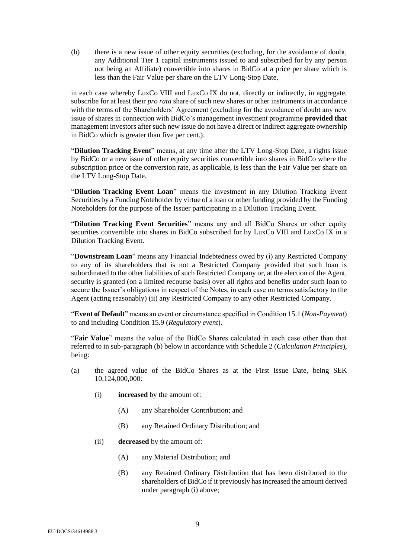(b) there is a new issue of other equity securities (excluding, for the avoidance of doubt, any Additional Tier 1 capital instruments issued to and subscribed for by any person not being an Affiliate) convertible into shares in BidCo at a price per share which is less than the Fair Value per share on the LTV Long-Stop Date,

in each case whereby LuxCo VIII and LuxCo IX do not, directly or indirectly, in aggregate, subscribe for at least their *pro rata* share of such new shares or other instruments in accordance with the terms of the Shareholders' Agreement (excluding for the avoidance of doubt any new issue of shares in connection with BidCo's management investment programme **provided that** management investors after such new issue do not have a direct or indirect aggregate ownership in BidCo which is greater than five per cent.).

"**Dilution Tracking Event**" means, at any time after the LTV Long-Stop Date, a rights issue by BidCo or a new issue of other equity securities convertible into shares in BidCo where the subscription price or the conversion rate, as applicable, is less than the Fair Value per share on the LTV Long-Stop Date.

"**Dilution Tracking Event Loan**" means the investment in any Dilution Tracking Event Securities by a Funding Noteholder by virtue of a loan or other funding provided by the Funding Noteholders for the purpose of the Issuer participating in a Dilution Tracking Event.

"**Dilution Tracking Event Securities**" means any and all BidCo Shares or other equity securities convertible into shares in BidCo subscribed for by LuxCo VIII and LuxCo IX in a Dilution Tracking Event.

"**Downstream Loan**" means any Financial Indebtedness owed by (i) any Restricted Company to any of its shareholders that is not a Restricted Company provided that such loan is subordinated to the other liabilities of such Restricted Company or, at the election of the Agent, security is granted (on a limited recourse basis) over all rights and benefits under such loan to secure the Issuer's obligations in respect of the Notes, in each case on terms satisfactory to the Agent (acting reasonably) (ii) any Restricted Company to any other Restricted Company.

"**Event of Default**" means an event or circumstance specified in Condition [15.1](#page-39-0) (*Non-Payment*) to and including Condition [15.9](#page-40-0) (*Regulatory event*).

"**Fair Value**" means the value of the BidCo Shares calculated in each case other than that referred to in sub-paragrap[h \(b\)](#page-9-0) below in accordance with Schedule 2 (*Calculation Principles*), being:

- <span id="page-8-0"></span>(a) the agreed value of the BidCo Shares as at the First Issue Date, being SEK 10,124,000,000:
	- (i) **increased** by the amount of:
		- (A) any Shareholder Contribution; and
		- (B) any Retained Ordinary Distribution; and
	- (ii) **decreased** by the amount of:
		- (A) any Material Distribution; and
		- (B) any Retained Ordinary Distribution that has been distributed to the shareholders of BidCo if it previously has increased the amount derived under paragraph [\(i\)](#page-8-0) above;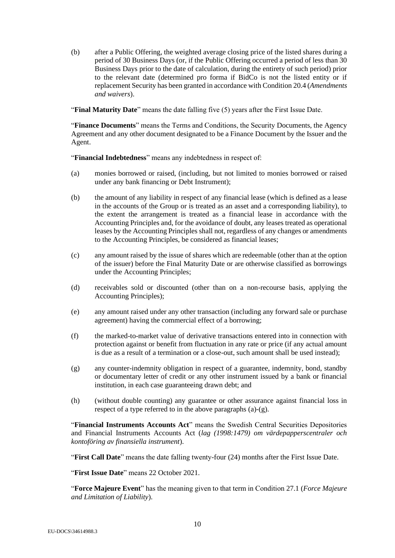<span id="page-9-0"></span>(b) after a Public Offering, the weighted average closing price of the listed shares during a period of 30 Business Days (or, if the Public Offering occurred a period of less than 30 Business Days prior to the date of calculation, during the entirety of such period) prior to the relevant date (determined pro forma if BidCo is not the listed entity or if replacement Security has been granted in accordance with Conditio[n 20.4](#page-46-0) (*Amendments and waivers*).

"**Final Maturity Date**" means the date falling five (5) years after the First Issue Date.

"**Finance Documents**" means the Terms and Conditions, the Security Documents, the Agency Agreement and any other document designated to be a Finance Document by the Issuer and the Agent.

"**Financial Indebtedness**" means any indebtedness in respect of:

- <span id="page-9-1"></span>(a) monies borrowed or raised, (including, but not limited to monies borrowed or raised under any bank financing or Debt Instrument);
- (b) the amount of any liability in respect of any financial lease (which is defined as a lease in the accounts of the Group or is treated as an asset and a corresponding liability), to the extent the arrangement is treated as a financial lease in accordance with the Accounting Principles and, for the avoidance of doubt, any leases treated as operational leases by the Accounting Principles shall not, regardless of any changes or amendments to the Accounting Principles, be considered as financial leases;
- (c) any amount raised by the issue of shares which are redeemable (other than at the option of the issuer) before the Final Maturity Date or are otherwise classified as borrowings under the Accounting Principles;
- (d) receivables sold or discounted (other than on a non-recourse basis, applying the Accounting Principles);
- (e) any amount raised under any other transaction (including any forward sale or purchase agreement) having the commercial effect of a borrowing;
- (f) the marked-to-market value of derivative transactions entered into in connection with protection against or benefit from fluctuation in any rate or price (if any actual amount is due as a result of a termination or a close-out, such amount shall be used instead);
- <span id="page-9-2"></span>(g) any counter-indemnity obligation in respect of a guarantee, indemnity, bond, standby or documentary letter of credit or any other instrument issued by a bank or financial institution, in each case guaranteeing drawn debt; and
- (h) (without double counting) any guarantee or other assurance against financial loss in respect of a type referred to in the above paragraphs [\(a\)](#page-9-1)[-\(g\).](#page-9-2)

"**Financial Instruments Accounts Act**" means the Swedish Central Securities Depositories and Financial Instruments Accounts Act (*lag (1998:1479) om värdepapperscentraler och kontoföring av finansiella instrument*).

"**First Call Date**" means the date falling twenty-four (24) months after the First Issue Date.

"**First Issue Date**" means 22 October 2021.

"**Force Majeure Event**" has the meaning given to that term in Condition [27.1](#page-53-0) (*Force Majeure and Limitation of Liability*).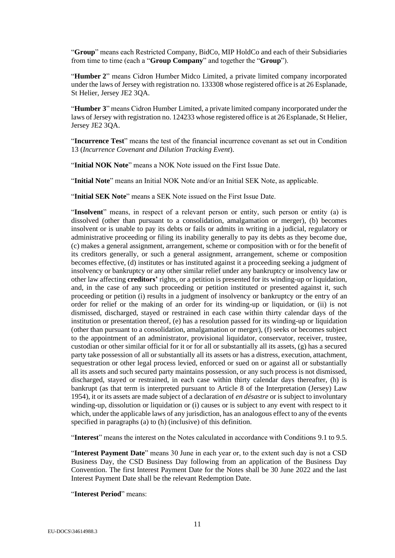"**Group**" means each Restricted Company, BidCo, MIP HoldCo and each of their Subsidiaries from time to time (each a "**Group Company**" and together the "**Group**").

"**Humber 2**" means Cidron Humber Midco Limited, a private limited company incorporated under the laws of Jersey with registration no. 133308 whose registered office is at 26 Esplanade, St Helier, Jersey JE2 3QA.

"**Humber 3**" means Cidron Humber Limited, a private limited company incorporated under the laws of Jersey with registration no. 124233 whose registered office is at 26 Esplanade, St Helier, Jersey JE2 3QA.

"**Incurrence Test**" means the test of the financial incurrence covenant as set out in Condition [13](#page-34-0) (*Incurrence Covenant and Dilution Tracking Event*).

"**Initial NOK Note**" means a NOK Note issued on the First Issue Date.

"**Initial Note**" means an Initial NOK Note and/or an Initial SEK Note, as applicable.

"**Initial SEK Note**" means a SEK Note issued on the First Issue Date.

"**Insolvent**" means, in respect of a relevant person or entity, such person or entity (a) is dissolved (other than pursuant to a consolidation, amalgamation or merger), (b) becomes insolvent or is unable to pay its debts or fails or admits in writing in a judicial, regulatory or administrative proceeding or filing its inability generally to pay its debts as they become due, (c) makes a general assignment, arrangement, scheme or composition with or for the benefit of its creditors generally, or such a general assignment, arrangement, scheme or composition becomes effective, (d) institutes or has instituted against it a proceeding seeking a judgment of insolvency or bankruptcy or any other similar relief under any bankruptcy or insolvency law or other law affecting **creditors'** rights, or a petition is presented for its winding-up or liquidation, and, in the case of any such proceeding or petition instituted or presented against it, such proceeding or petition (i) results in a judgment of insolvency or bankruptcy or the entry of an order for relief or the making of an order for its winding-up or liquidation, or (ii) is not dismissed, discharged, stayed or restrained in each case within thirty calendar days of the institution or presentation thereof, (e) has a resolution passed for its winding-up or liquidation (other than pursuant to a consolidation, amalgamation or merger), (f) seeks or becomes subject to the appointment of an administrator, provisional liquidator, conservator, receiver, trustee, custodian or other similar official for it or for all or substantially all its assets, (g) has a secured party take possession of all or substantially all its assets or has a distress, execution, attachment, sequestration or other legal process levied, enforced or sued on or against all or substantially all its assets and such secured party maintains possession, or any such process is not dismissed, discharged, stayed or restrained, in each case within thirty calendar days thereafter, (h) is bankrupt (as that term is interpreted pursuant to Article 8 of the Interpretation (Jersey) Law 1954), it or its assets are made subject of a declaration of *en désastre* or is subject to involuntary winding-up, dissolution or liquidation or (i) causes or is subject to any event with respect to it which, under the applicable laws of any jurisdiction, has an analogous effect to any of the events specified in paragraphs (a) to (h) (inclusive) of this definition.

"**Interest**" means the interest on the Notes calculated in accordance with Conditions [9.1](#page-25-0) to [9.5.](#page-26-0)

"**Interest Payment Date**" means 30 June in each year or, to the extent such day is not a CSD Business Day, the CSD Business Day following from an application of the Business Day Convention. The first Interest Payment Date for the Notes shall be 30 June 2022 and the last Interest Payment Date shall be the relevant Redemption Date.

"**Interest Period**" means: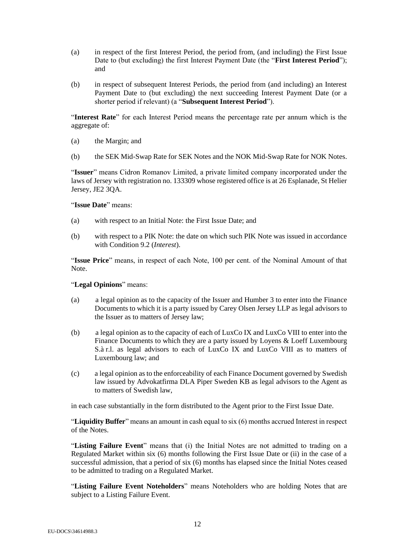- (a) in respect of the first Interest Period, the period from, (and including) the First Issue Date to (but excluding) the first Interest Payment Date (the "**First Interest Period**"); and
- (b) in respect of subsequent Interest Periods, the period from (and including) an Interest Payment Date to (but excluding) the next succeeding Interest Payment Date (or a shorter period if relevant) (a "**Subsequent Interest Period**").

"**Interest Rate**" for each Interest Period means the percentage rate per annum which is the aggregate of:

- (a) the Margin; and
- (b) the SEK Mid-Swap Rate for SEK Notes and the NOK Mid-Swap Rate for NOK Notes.

"**Issuer**" means Cidron Romanov Limited, a private limited company incorporated under the laws of Jersey with registration no. 133309 whose registered office is at 26 Esplanade, St Helier Jersey, JE2 3QA.

"**Issue Date**" means:

- (a) with respect to an Initial Note: the First Issue Date; and
- (b) with respect to a PIK Note: the date on which such PIK Note was issued in accordance with Condition [9.2](#page-25-1) (*Interest*).

"**Issue Price**" means, in respect of each Note, 100 per cent. of the Nominal Amount of that Note.

"**Legal Opinions**" means:

- (a) a legal opinion as to the capacity of the Issuer and Humber 3 to enter into the Finance Documents to which it is a party issued by Carey Olsen Jersey LLP as legal advisors to the Issuer as to matters of Jersey law;
- (b) a legal opinion as to the capacity of each of LuxCo IX and LuxCo VIII to enter into the Finance Documents to which they are a party issued by Loyens & Loeff Luxembourg S.à r.l. as legal advisors to each of LuxCo IX and LuxCo VIII as to matters of Luxembourg law; and
- (c) a legal opinion as to the enforceability of each Finance Document governed by Swedish law issued by Advokatfirma DLA Piper Sweden KB as legal advisors to the Agent as to matters of Swedish law,

in each case substantially in the form distributed to the Agent prior to the First Issue Date.

"**Liquidity Buffer**" means an amount in cash equal to six (6) months accrued Interest in respect of the Notes.

"**Listing Failure Event**" means that (i) the Initial Notes are not admitted to trading on a Regulated Market within six (6) months following the First Issue Date or (ii) in the case of a successful admission, that a period of six (6) months has elapsed since the Initial Notes ceased to be admitted to trading on a Regulated Market.

"**Listing Failure Event Noteholders**" means Noteholders who are holding Notes that are subject to a Listing Failure Event.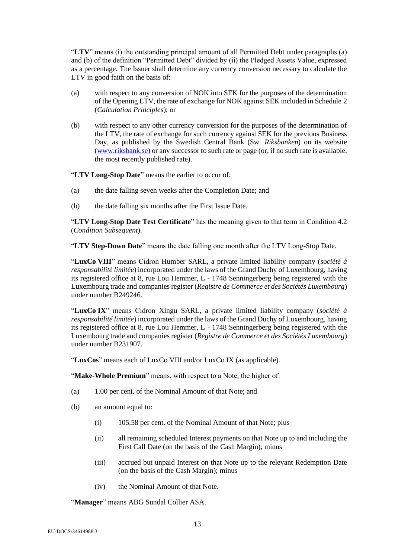"**LTV**" means (i) the outstanding principal amount of all Permitted Debt under paragraphs [\(a\)](#page-15-0) and [\(b\)](#page-15-1) of the definition "Permitted Debt" divided by (ii) the Pledged Assets Value, expressed as a percentage. The Issuer shall determine any currency conversion necessary to calculate the LTV in good faith on the basis of:

- (a) with respect to any conversion of NOK into SEK for the purposes of the determination of the Opening LTV, the rate of exchange for NOK against SEK included in Schedule 2 (*Calculation Principles*); or
- (b) with respect to any other currency conversion for the purposes of the determination of the LTV, the rate of exchange for such currency against SEK for the previous Business Day, as published by the Swedish Central Bank (Sw. *Riksbanken*) on its website (www.riksbank.se) or any successor to such rate or page (or, if no such rate is available, the most recently published rate).

"**LTV Long-Stop Date**" means the earlier to occur of:

- (a) the date falling seven weeks after the Completion Date; and
- (b) the date falling six months after the First Issue Date.

"**LTV Long-Stop Date Test Certificate**" has the meaning given to that term in Condition [4.2](#page-22-0) (*Condition Subsequent*).

"**LTV Step-Down Date**" means the date falling one month after the LTV Long-Stop Date.

"**LuxCo VIII**" means Cidron Humber SARL, a private limited liability company (*société à responsabilité limitée*) incorporated under the laws of the Grand Duchy of Luxembourg, having its registered office at 8, rue Lou Hemmer, L - 1748 Senningerberg being registered with the Luxembourg trade and companies register (*Registre de Commerce et des Sociétés Luxembourg*) under number B249246.

"**LuxCo IX**" means Cidron Xingu SARL, a private limited liability company (*société à responsabilité limitée*) incorporated under the laws of the Grand Duchy of Luxembourg, having its registered office at 8, rue Lou Hemmer, L - 1748 Senningerberg being registered with the Luxembourg trade and companies register (*Registre de Commerce et des Sociétés Luxembourg*) under number B231907.

"**LuxCos**" means each of LuxCo VIII and/or LuxCo IX (as applicable).

"**Make-Whole Premium**" means, with respect to a Note, the higher of:

- (a) 1.00 per cent. of the Nominal Amount of that Note; and
- (b) an amount equal to:
	- (i) 105.58 per cent. of the Nominal Amount of that Note; plus
	- (ii) all remaining scheduled Interest payments on that Note up to and including the First Call Date (on the basis of the Cash Margin); minus
	- (iii) accrued but unpaid Interest on that Note up to the relevant Redemption Date (on the basis of the Cash Margin); minus
	- (iv) the Nominal Amount of that Note.

"**Manager**" means ABG Sundal Collier ASA.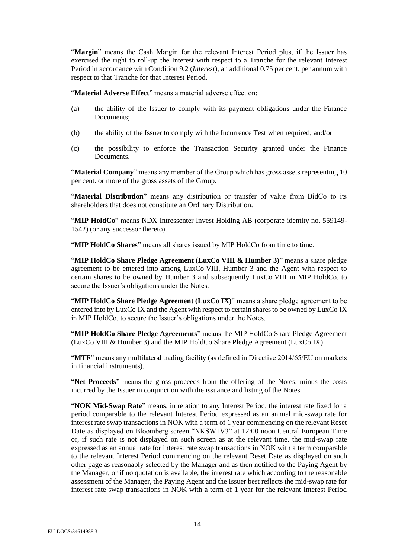"**Margin**" means the Cash Margin for the relevant Interest Period plus, if the Issuer has exercised the right to roll-up the Interest with respect to a Tranche for the relevant Interest Period in accordance with Conditio[n 9.2](#page-25-1) (*Interest*), an additional 0.75 per cent. per annum with respect to that Tranche for that Interest Period.

"**Material Adverse Effect**" means a material adverse effect on:

- (a) the ability of the Issuer to comply with its payment obligations under the Finance Documents;
- (b) the ability of the Issuer to comply with the Incurrence Test when required; and/or
- (c) the possibility to enforce the Transaction Security granted under the Finance Documents.

"**Material Company**" means any member of the Group which has gross assets representing 10 per cent. or more of the gross assets of the Group.

"**Material Distribution**" means any distribution or transfer of value from BidCo to its shareholders that does not constitute an Ordinary Distribution.

"**MIP HoldCo**" means NDX Intressenter Invest Holding AB (corporate identity no. 559149- 1542) (or any successor thereto).

"**MIP HoldCo Shares**" means all shares issued by MIP HoldCo from time to time.

"**MIP HoldCo Share Pledge Agreement (LuxCo VIII & Humber 3)**" means a share pledge agreement to be entered into among LuxCo VIII, Humber 3 and the Agent with respect to certain shares to be owned by Humber 3 and subsequently LuxCo VIII in MIP HoldCo, to secure the Issuer's obligations under the Notes.

"**MIP HoldCo Share Pledge Agreement (LuxCo IX)**" means a share pledge agreement to be entered into by LuxCo IX and the Agent with respect to certain shares to be owned by LuxCo IX in MIP HoldCo, to secure the Issuer's obligations under the Notes.

"**MIP HoldCo Share Pledge Agreements**" means the MIP HoldCo Share Pledge Agreement (LuxCo VIII & Humber 3) and the MIP HoldCo Share Pledge Agreement (LuxCo IX).

"**MTF**" means any multilateral trading facility (as defined in Directive 2014/65/EU on markets in financial instruments).

"**Net Proceeds**" means the gross proceeds from the offering of the Notes, minus the costs incurred by the Issuer in conjunction with the issuance and listing of the Notes.

"**NOK Mid-Swap Rate**" means, in relation to any Interest Period, the interest rate fixed for a period comparable to the relevant Interest Period expressed as an annual mid-swap rate for interest rate swap transactions in NOK with a term of 1 year commencing on the relevant Reset Date as displayed on Bloomberg screen "NKSW1V3" at 12:00 noon Central European Time or, if such rate is not displayed on such screen as at the relevant time, the mid-swap rate expressed as an annual rate for interest rate swap transactions in NOK with a term comparable to the relevant Interest Period commencing on the relevant Reset Date as displayed on such other page as reasonably selected by the Manager and as then notified to the Paying Agent by the Manager, or if no quotation is available, the interest rate which according to the reasonable assessment of the Manager, the Paying Agent and the Issuer best reflects the mid-swap rate for interest rate swap transactions in NOK with a term of 1 year for the relevant Interest Period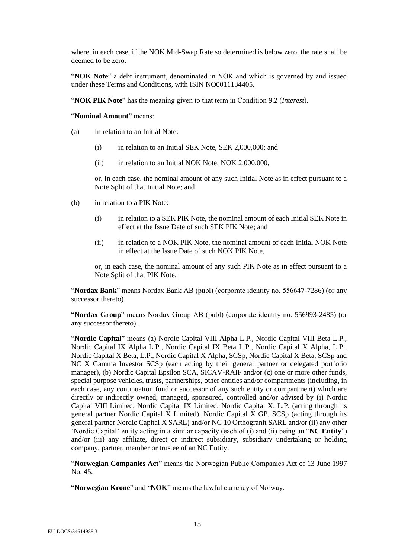where, in each case, if the NOK Mid-Swap Rate so determined is below zero, the rate shall be deemed to be zero.

"**NOK Note**" a debt instrument, denominated in NOK and which is governed by and issued under these Terms and Conditions, with ISIN NO0011134405.

"**NOK PIK Note**" has the meaning given to that term in Condition [9.2](#page-25-1) (*Interest*).

"**Nominal Amount**" means:

- (a) In relation to an Initial Note:
	- (i) in relation to an Initial SEK Note, SEK 2,000,000; and
	- (ii) in relation to an Initial NOK Note, NOK 2,000,000,

or, in each case, the nominal amount of any such Initial Note as in effect pursuant to a Note Split of that Initial Note; and

- (b) in relation to a PIK Note:
	- (i) in relation to a SEK PIK Note, the nominal amount of each Initial SEK Note in effect at the Issue Date of such SEK PIK Note; and
	- (ii) in relation to a NOK PIK Note, the nominal amount of each Initial NOK Note in effect at the Issue Date of such NOK PIK Note,

or, in each case, the nominal amount of any such PIK Note as in effect pursuant to a Note Split of that PIK Note.

"**Nordax Bank**" means Nordax Bank AB (publ) (corporate identity no. 556647-7286) (or any successor thereto)

"**Nordax Group**" means Nordax Group AB (publ) (corporate identity no. 556993-2485) (or any successor thereto).

"**Nordic Capital**" means (a) Nordic Capital VIII Alpha L.P., Nordic Capital VIII Beta L.P., Nordic Capital IX Alpha L.P., Nordic Capital IX Beta L.P., Nordic Capital X Alpha, L.P., Nordic Capital X Beta, L.P., Nordic Capital X Alpha, SCSp, Nordic Capital X Beta, SCSp and NC X Gamma Investor SCSp (each acting by their general partner or delegated portfolio manager), (b) Nordic Capital Epsilon SCA, SICAV-RAIF and/or (c) one or more other funds, special purpose vehicles, trusts, partnerships, other entities and/or compartments (including, in each case, any continuation fund or successor of any such entity or compartment) which are directly or indirectly owned, managed, sponsored, controlled and/or advised by (i) Nordic Capital VIII Limited, Nordic Capital IX Limited, Nordic Capital X, L.P. (acting through its general partner Nordic Capital X Limited), Nordic Capital X GP, SCSp (acting through its general partner Nordic Capital X SARL) and/or NC 10 Orthogranit SARL and/or (ii) any other 'Nordic Capital' entity acting in a similar capacity (each of (i) and (ii) being an "**NC Entity**") and/or (iii) any affiliate, direct or indirect subsidiary, subsidiary undertaking or holding company, partner, member or trustee of an NC Entity.

"**Norwegian Companies Act**" means the Norwegian Public Companies Act of 13 June 1997 No. 45.

"**Norwegian Krone**" and "**NOK**" means the lawful currency of Norway.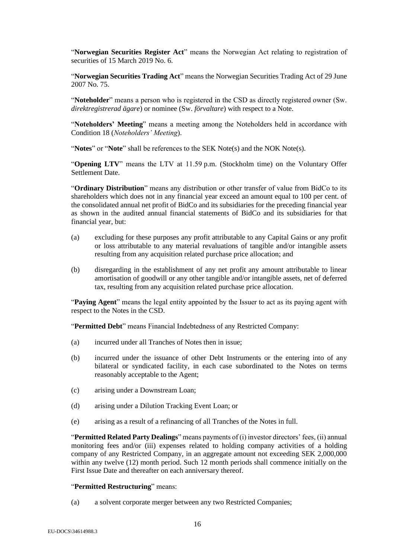"**Norwegian Securities Register Act**" means the Norwegian Act relating to registration of securities of 15 March 2019 No. 6.

"**Norwegian Securities Trading Act**" means the Norwegian Securities Trading Act of 29 June 2007 No. 75.

"**Noteholder**" means a person who is registered in the CSD as directly registered owner (Sw. *direktregistrerad ägare*) or nominee (Sw. *förvaltare*) with respect to a Note.

"**Noteholders' Meeting**" means a meeting among the Noteholders held in accordance with Condition [18](#page-44-0) (*Noteholders' Meeting*).

"**Notes**" or "**Note**" shall be references to the SEK Note(s) and the NOK Note(s).

"**Opening LTV**" means the LTV at 11.59 p.m. (Stockholm time) on the Voluntary Offer Settlement Date.

"**Ordinary Distribution**" means any distribution or other transfer of value from BidCo to its shareholders which does not in any financial year exceed an amount equal to 100 per cent. of the consolidated annual net profit of BidCo and its subsidiaries for the preceding financial year as shown in the audited annual financial statements of BidCo and its subsidiaries for that financial year, but:

- (a) excluding for these purposes any profit attributable to any Capital Gains or any profit or loss attributable to any material revaluations of tangible and/or intangible assets resulting from any acquisition related purchase price allocation; and
- (b) disregarding in the establishment of any net profit any amount attributable to linear amortisation of goodwill or any other tangible and/or intangible assets, net of deferred tax, resulting from any acquisition related purchase price allocation.

"**Paying Agent**" means the legal entity appointed by the Issuer to act as its paying agent with respect to the Notes in the CSD.

"**Permitted Debt**" means Financial Indebtedness of any Restricted Company:

- <span id="page-15-0"></span>(a) incurred under all Tranches of Notes then in issue;
- <span id="page-15-1"></span>(b) incurred under the issuance of other Debt Instruments or the entering into of any bilateral or syndicated facility, in each case subordinated to the Notes on terms reasonably acceptable to the Agent;
- <span id="page-15-2"></span>(c) arising under a Downstream Loan;
- <span id="page-15-3"></span>(d) arising under a Dilution Tracking Event Loan; or
- (e) arising as a result of a refinancing of all Tranches of the Notes in full.

"**Permitted Related Party Dealings**" means payments of (i) investor directors' fees, (ii) annual monitoring fees and/or (iii) expenses related to holding company activities of a holding company of any Restricted Company, in an aggregate amount not exceeding SEK 2,000,000 within any twelve (12) month period. Such 12 month periods shall commence initially on the First Issue Date and thereafter on each anniversary thereof.

#### "**Permitted Restructuring**" means:

(a) a solvent corporate merger between any two Restricted Companies;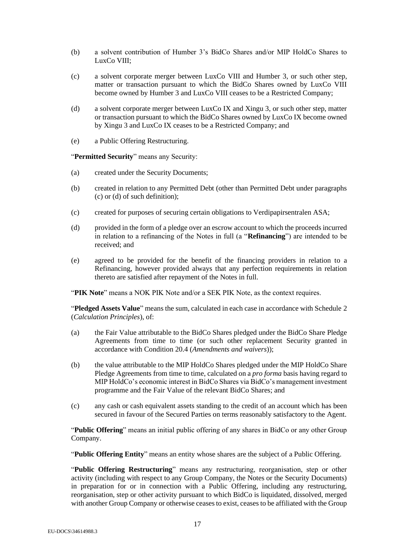- (b) a solvent contribution of Humber 3's BidCo Shares and/or MIP HoldCo Shares to LuxCo VIII;
- <span id="page-16-1"></span>(c) a solvent corporate merger between LuxCo VIII and Humber 3, or such other step, matter or transaction pursuant to which the BidCo Shares owned by LuxCo VIII become owned by Humber 3 and LuxCo VIII ceases to be a Restricted Company;
- <span id="page-16-0"></span>(d) a solvent corporate merger between LuxCo IX and Xingu 3, or such other step, matter or transaction pursuant to which the BidCo Shares owned by LuxCo IX become owned by Xingu 3 and LuxCo IX ceases to be a Restricted Company; and
- (e) a Public Offering Restructuring.

"**Permitted Security**" means any Security:

- (a) created under the Security Documents;
- (b) created in relation to any Permitted Debt (other than Permitted Debt under paragraphs [\(c\)](#page-15-2) or [\(d\)](#page-15-3) of such definition);
- (c) created for purposes of securing certain obligations to Verdipapirsentralen ASA;
- (d) provided in the form of a pledge over an escrow account to which the proceeds incurred in relation to a refinancing of the Notes in full (a "**Refinancing**") are intended to be received; and
- (e) agreed to be provided for the benefit of the financing providers in relation to a Refinancing, however provided always that any perfection requirements in relation thereto are satisfied after repayment of the Notes in full.

"**PIK Note**" means a NOK PIK Note and/or a SEK PIK Note, as the context requires.

"**Pledged Assets Value**" means the sum, calculated in each case in accordance with Schedule 2 (*Calculation Principles*), of:

- (a) the Fair Value attributable to the BidCo Shares pledged under the BidCo Share Pledge Agreements from time to time (or such other replacement Security granted in accordance with Condition [20.4](#page-46-0) (*Amendments and waivers*));
- (b) the value attributable to the MIP HoldCo Shares pledged under the MIP HoldCo Share Pledge Agreements from time to time, calculated on a *pro forma* basis having regard to MIP HoldCo's economic interest in BidCo Shares via BidCo's management investment programme and the Fair Value of the relevant BidCo Shares; and
- (c) any cash or cash equivalent assets standing to the credit of an account which has been secured in favour of the Secured Parties on terms reasonably satisfactory to the Agent.

"**Public Offering**" means an initial public offering of any shares in BidCo or any other Group Company.

"**Public Offering Entity**" means an entity whose shares are the subject of a Public Offering.

"**Public Offering Restructuring**" means any restructuring, reorganisation, step or other activity (including with respect to any Group Company, the Notes or the Security Documents) in preparation for or in connection with a Public Offering, including any restructuring, reorganisation, step or other activity pursuant to which BidCo is liquidated, dissolved, merged with another Group Company or otherwise ceases to exist, ceases to be affiliated with the Group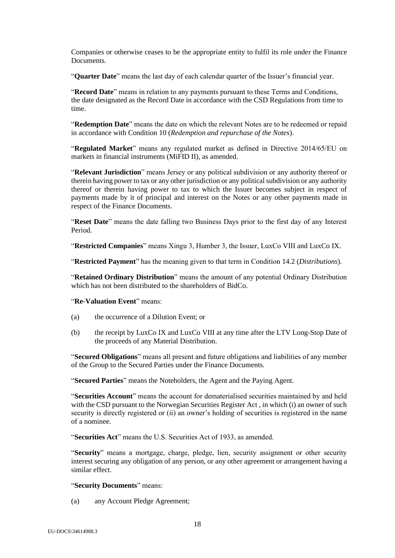Companies or otherwise ceases to be the appropriate entity to fulfil its role under the Finance Documents.

"**Quarter Date**" means the last day of each calendar quarter of the Issuer's financial year.

"**Record Date**" means in relation to any payments pursuant to these Terms and Conditions, the date designated as the Record Date in accordance with the CSD Regulations from time to time.

"**Redemption Date**" means the date on which the relevant Notes are to be redeemed or repaid in accordance with Condition [10](#page-26-1) (*Redemption and repurchase of the Notes*).

"**Regulated Market**" means any regulated market as defined in Directive 2014/65/EU on markets in financial instruments (MiFID II), as amended.

"**Relevant Jurisdiction**" means Jersey or any political subdivision or any authority thereof or therein having power to tax or any other jurisdiction or any political subdivision or any authority thereof or therein having power to tax to which the Issuer becomes subject in respect of payments made by it of principal and interest on the Notes or any other payments made in respect of the Finance Documents.

"**Reset Date**" means the date falling two Business Days prior to the first day of any Interest Period.

"**Restricted Companies**" means Xingu 3, Humber 3, the Issuer, LuxCo VIII and LuxCo IX.

"**Restricted Payment**" has the meaning given to that term in Condition [14.2](#page-35-0) (*Distributions*).

"**Retained Ordinary Distribution**" means the amount of any potential Ordinary Distribution which has not been distributed to the shareholders of BidCo.

#### "**Re-Valuation Event**" means:

- (a) the occurrence of a Dilution Event; or
- (b) the receipt by LuxCo IX and LuxCo VIII at any time after the LTV Long-Stop Date of the proceeds of any Material Distribution.

"**Secured Obligations**" means all present and future obligations and liabilities of any member of the Group to the Secured Parties under the Finance Documents.

"**Secured Parties**" means the Noteholders, the Agent and the Paying Agent.

"**Securities Account**" means the account for dematerialised securities maintained by and held with the CSD pursuant to the Norwegian Securities Register Act, in which (i) an owner of such security is directly registered or (ii) an owner's holding of securities is registered in the name of a nominee.

"**Securities Act**" means the U.S. Securities Act of 1933, as amended.

"**Security**" means a mortgage, charge, pledge, lien, security assignment or other security interest securing any obligation of any person, or any other agreement or arrangement having a similar effect.

#### "**Security Documents**" means:

(a) any Account Pledge Agreement;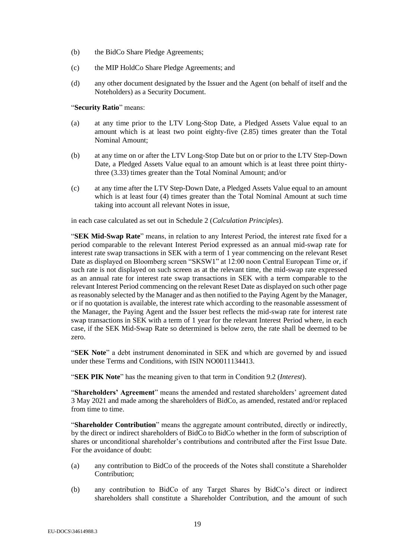- (b) the BidCo Share Pledge Agreements;
- (c) the MIP HoldCo Share Pledge Agreements; and
- (d) any other document designated by the Issuer and the Agent (on behalf of itself and the Noteholders) as a Security Document.

"**Security Ratio**" means:

- (a) at any time prior to the LTV Long-Stop Date, a Pledged Assets Value equal to an amount which is at least two point eighty-five (2.85) times greater than the Total Nominal Amount;
- (b) at any time on or after the LTV Long-Stop Date but on or prior to the LTV Step-Down Date, a Pledged Assets Value equal to an amount which is at least three point thirtythree (3.33) times greater than the Total Nominal Amount; and/or
- (c) at any time after the LTV Step-Down Date, a Pledged Assets Value equal to an amount which is at least four (4) times greater than the Total Nominal Amount at such time taking into account all relevant Notes in issue,

in each case calculated as set out in Schedule 2 (*Calculation Principles*).

"**SEK Mid-Swap Rate**" means, in relation to any Interest Period, the interest rate fixed for a period comparable to the relevant Interest Period expressed as an annual mid-swap rate for interest rate swap transactions in SEK with a term of 1 year commencing on the relevant Reset Date as displayed on Bloomberg screen "SKSW1" at 12:00 noon Central European Time or, if such rate is not displayed on such screen as at the relevant time, the mid-swap rate expressed as an annual rate for interest rate swap transactions in SEK with a term comparable to the relevant Interest Period commencing on the relevant Reset Date as displayed on such other page as reasonably selected by the Manager and as then notified to the Paying Agent by the Manager, or if no quotation is available, the interest rate which according to the reasonable assessment of the Manager, the Paying Agent and the Issuer best reflects the mid-swap rate for interest rate swap transactions in SEK with a term of 1 year for the relevant Interest Period where, in each case, if the SEK Mid-Swap Rate so determined is below zero, the rate shall be deemed to be zero.

"**SEK Note**" a debt instrument denominated in SEK and which are governed by and issued under these Terms and Conditions, with ISIN NO0011134413.

"**SEK PIK Note**" has the meaning given to that term in Condition [9.2](#page-25-1) (*Interest*).

"**Shareholders' Agreement**" means the amended and restated shareholders' agreement dated 3 May 2021 and made among the shareholders of BidCo, as amended, restated and/or replaced from time to time.

"**Shareholder Contribution**" means the aggregate amount contributed, directly or indirectly, by the direct or indirect shareholders of BidCo to BidCo whether in the form of subscription of shares or unconditional shareholder's contributions and contributed after the First Issue Date. For the avoidance of doubt:

- (a) any contribution to BidCo of the proceeds of the Notes shall constitute a Shareholder Contribution;
- (b) any contribution to BidCo of any Target Shares by BidCo's direct or indirect shareholders shall constitute a Shareholder Contribution, and the amount of such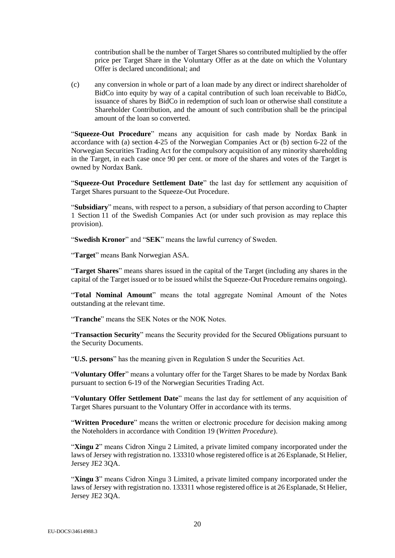contribution shall be the number of Target Shares so contributed multiplied by the offer price per Target Share in the Voluntary Offer as at the date on which the Voluntary Offer is declared unconditional; and

(c) any conversion in whole or part of a loan made by any direct or indirect shareholder of BidCo into equity by way of a capital contribution of such loan receivable to BidCo, issuance of shares by BidCo in redemption of such loan or otherwise shall constitute a Shareholder Contribution, and the amount of such contribution shall be the principal amount of the loan so converted.

"**Squeeze-Out Procedure**" means any acquisition for cash made by Nordax Bank in accordance with (a) section 4-25 of the Norwegian Companies Act or (b) section 6-22 of the Norwegian Securities Trading Act for the compulsory acquisition of any minority shareholding in the Target, in each case once 90 per cent. or more of the shares and votes of the Target is owned by Nordax Bank.

"**Squeeze-Out Procedure Settlement Date**" the last day for settlement any acquisition of Target Shares pursuant to the Squeeze-Out Procedure.

"**Subsidiary**" means, with respect to a person, a subsidiary of that person according to Chapter 1 Section 11 of the Swedish Companies Act (or under such provision as may replace this provision).

"**Swedish Kronor**" and "**SEK**" means the lawful currency of Sweden.

"**Target**" means Bank Norwegian ASA.

"**Target Shares**" means shares issued in the capital of the Target (including any shares in the capital of the Target issued or to be issued whilst the Squeeze-Out Procedure remains ongoing).

"**Total Nominal Amount**" means the total aggregate Nominal Amount of the Notes outstanding at the relevant time.

"**Tranche**" means the SEK Notes or the NOK Notes.

"**Transaction Security**" means the Security provided for the Secured Obligations pursuant to the Security Documents.

"**U.S. persons**" has the meaning given in Regulation S under the Securities Act.

"**Voluntary Offer**" means a voluntary offer for the Target Shares to be made by Nordax Bank pursuant to section 6-19 of the Norwegian Securities Trading Act.

"**Voluntary Offer Settlement Date**" means the last day for settlement of any acquisition of Target Shares pursuant to the Voluntary Offer in accordance with its terms.

"**Written Procedure**" means the written or electronic procedure for decision making among the Noteholders in accordance with Conditio[n 19](#page-45-0) (*Written Procedure*).

"**Xingu 2**" means Cidron Xingu 2 Limited, a private limited company incorporated under the laws of Jersey with registration no. 133310 whose registered office is at 26 Esplanade, St Helier, Jersey JE2 3QA.

"**Xingu 3**" means Cidron Xingu 3 Limited, a private limited company incorporated under the laws of Jersey with registration no. 133311 whose registered office is at 26 Esplanade, St Helier, Jersey JE2 3QA.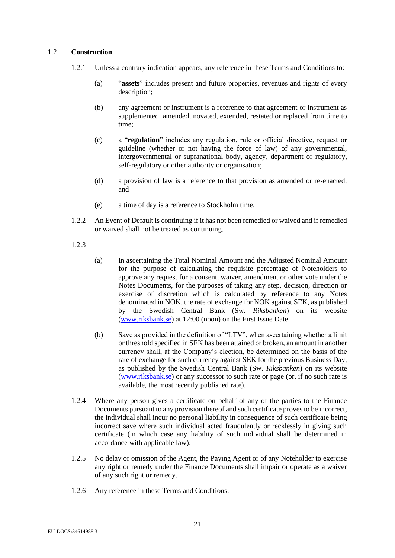# 1.2 **Construction**

- 1.2.1 Unless a contrary indication appears, any reference in these Terms and Conditions to:
	- (a) "**assets**" includes present and future properties, revenues and rights of every description;
	- (b) any agreement or instrument is a reference to that agreement or instrument as supplemented, amended, novated, extended, restated or replaced from time to time;
	- (c) a "**regulation**" includes any regulation, rule or official directive, request or guideline (whether or not having the force of law) of any governmental, intergovernmental or supranational body, agency, department or regulatory, self-regulatory or other authority or organisation;
	- (d) a provision of law is a reference to that provision as amended or re-enacted; and
	- (e) a time of day is a reference to Stockholm time.
- 1.2.2 An Event of Default is continuing if it has not been remedied or waived and if remedied or waived shall not be treated as continuing.
- 1.2.3
- (a) In ascertaining the Total Nominal Amount and the Adjusted Nominal Amount for the purpose of calculating the requisite percentage of Noteholders to approve any request for a consent, waiver, amendment or other vote under the Notes Documents, for the purposes of taking any step, decision, direction or exercise of discretion which is calculated by reference to any Notes denominated in NOK, the rate of exchange for NOK against SEK, as published by the Swedish Central Bank (Sw. *Riksbanken*) on its website [\(www.riksbank.se\)](http://www.riksbank.se/) at 12:00 (noon) on the First Issue Date.
- (b) Save as provided in the definition of "LTV", when ascertaining whether a limit or threshold specified in SEK has been attained or broken, an amount in another currency shall, at the Company's election, be determined on the basis of the rate of exchange for such currency against SEK for the previous Business Day, as published by the Swedish Central Bank (Sw. *Riksbanken*) on its website (www.riksbank.se) or any successor to such rate or page (or, if no such rate is available, the most recently published rate).
- 1.2.4 Where any person gives a certificate on behalf of any of the parties to the Finance Documents pursuant to any provision thereof and such certificate proves to be incorrect, the individual shall incur no personal liability in consequence of such certificate being incorrect save where such individual acted fraudulently or recklessly in giving such certificate (in which case any liability of such individual shall be determined in accordance with applicable law).
- 1.2.5 No delay or omission of the Agent, the Paying Agent or of any Noteholder to exercise any right or remedy under the Finance Documents shall impair or operate as a waiver of any such right or remedy.
- 1.2.6 Any reference in these Terms and Conditions: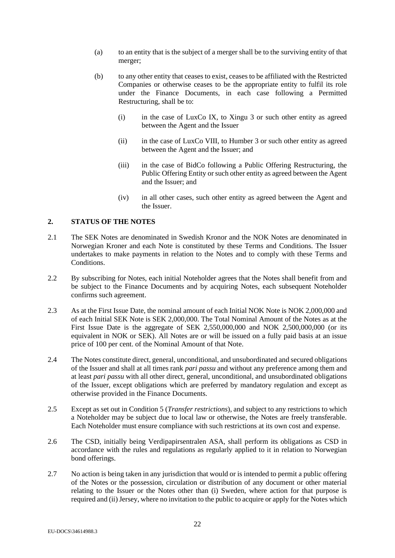- (a) to an entity that is the subject of a merger shall be to the surviving entity of that merger;
- (b) to any other entity that ceases to exist, ceases to be affiliated with the Restricted Companies or otherwise ceases to be the appropriate entity to fulfil its role under the Finance Documents, in each case following a Permitted Restructuring, shall be to:
	- (i) in the case of LuxCo IX, to Xingu 3 or such other entity as agreed between the Agent and the Issuer
	- (ii) in the case of LuxCo VIII, to Humber 3 or such other entity as agreed between the Agent and the Issuer; and
	- (iii) in the case of BidCo following a Public Offering Restructuring, the Public Offering Entity or such other entity as agreed between the Agent and the Issuer; and
	- (iv) in all other cases, such other entity as agreed between the Agent and the Issuer.

# <span id="page-21-1"></span>**2. STATUS OF THE NOTES**

- <span id="page-21-0"></span>2.1 The SEK Notes are denominated in Swedish Kronor and the NOK Notes are denominated in Norwegian Kroner and each Note is constituted by these Terms and Conditions. The Issuer undertakes to make payments in relation to the Notes and to comply with these Terms and Conditions.
- 2.2 By subscribing for Notes, each initial Noteholder agrees that the Notes shall benefit from and be subject to the Finance Documents and by acquiring Notes, each subsequent Noteholder confirms such agreement.
- 2.3 As at the First Issue Date, the nominal amount of each Initial NOK Note is NOK 2,000,000 and of each Initial SEK Note is SEK 2,000,000. The Total Nominal Amount of the Notes as at the First Issue Date is the aggregate of SEK 2,550,000,000 and NOK 2,500,000,000 (or its equivalent in NOK or SEK). All Notes are or will be issued on a fully paid basis at an issue price of 100 per cent. of the Nominal Amount of that Note.
- 2.4 The Notes constitute direct, general, unconditional, and unsubordinated and secured obligations of the Issuer and shall at all times rank *pari passu* and without any preference among them and at least *pari passu* with all other direct, general, unconditional, and unsubordinated obligations of the Issuer, except obligations which are preferred by mandatory regulation and except as otherwise provided in the Finance Documents.
- <span id="page-21-2"></span>2.5 Except as set out in Condition [5](#page-23-0) (*Transfer restrictions*), and subject to any restrictions to which a Noteholder may be subject due to local law or otherwise, the Notes are freely transferable. Each Noteholder must ensure compliance with such restrictions at its own cost and expense.
- 2.6 The CSD, initially being Verdipapirsentralen ASA, shall perform its obligations as CSD in accordance with the rules and regulations as regularly applied to it in relation to Norwegian bond offerings.
- 2.7 No action is being taken in any jurisdiction that would or is intended to permit a public offering of the Notes or the possession, circulation or distribution of any document or other material relating to the Issuer or the Notes other than (i) Sweden, where action for that purpose is required and (ii) Jersey, where no invitation to the public to acquire or apply for the Notes which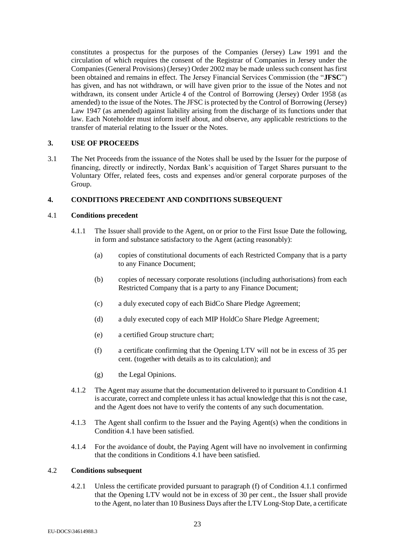constitutes a prospectus for the purposes of the Companies (Jersey) Law 1991 and the circulation of which requires the consent of the Registrar of Companies in Jersey under the Companies (General Provisions) (Jersey) Order 2002 may be made unless such consent has first been obtained and remains in effect. The Jersey Financial Services Commission (the "**JFSC**") has given, and has not withdrawn, or will have given prior to the issue of the Notes and not withdrawn, its consent under Article 4 of the Control of Borrowing (Jersey) Order 1958 (as amended) to the issue of the Notes. The JFSC is protected by the Control of Borrowing (Jersey) Law 1947 (as amended) against liability arising from the discharge of its functions under that law. Each Noteholder must inform itself about, and observe, any applicable restrictions to the transfer of material relating to the Issuer or the Notes.

# **3. USE OF PROCEEDS**

3.1 The Net Proceeds from the issuance of the Notes shall be used by the Issuer for the purpose of financing, directly or indirectly, Nordax Bank's acquisition of Target Shares pursuant to the Voluntary Offer, related fees, costs and expenses and/or general corporate purposes of the Group.

# **4. CONDITIONS PRECEDENT AND CONDITIONS SUBSEQUENT**

# <span id="page-22-3"></span><span id="page-22-1"></span>4.1 **Conditions precedent**

- 4.1.1 The Issuer shall provide to the Agent, on or prior to the First Issue Date the following, in form and substance satisfactory to the Agent (acting reasonably):
	- (a) copies of constitutional documents of each Restricted Company that is a party to any Finance Document;
	- (b) copies of necessary corporate resolutions (including authorisations) from each Restricted Company that is a party to any Finance Document;
	- (c) a duly executed copy of each BidCo Share Pledge Agreement;
	- (d) a duly executed copy of each MIP HoldCo Share Pledge Agreement;
	- (e) a certified Group structure chart;
	- (f) a certificate confirming that the Opening LTV will not be in excess of 35 per cent. (together with details as to its calculation); and
	- (g) the Legal Opinions.
- <span id="page-22-2"></span>4.1.2 The Agent may assume that the documentation delivered to it pursuant to Condition [4.1](#page-22-1) is accurate, correct and complete unless it has actual knowledge that this is not the case, and the Agent does not have to verify the contents of any such documentation.
- 4.1.3 The Agent shall confirm to the Issuer and the Paying Agent(s) when the conditions in Condition [4.1](#page-22-1) have been satisfied.
- 4.1.4 For the avoidance of doubt, the Paying Agent will have no involvement in confirming that the conditions in Conditions [4.1](#page-22-1) have been satisfied.

# <span id="page-22-4"></span><span id="page-22-0"></span>4.2 **Conditions subsequent**

4.2.1 Unless the certificate provided pursuant to paragraph [\(f\)](#page-22-2) of Condition [4.1.1](#page-22-3) confirmed that the Opening LTV would not be in excess of 30 per cent., the Issuer shall provide to the Agent, no later than 10 Business Days after the LTV Long-Stop Date, a certificate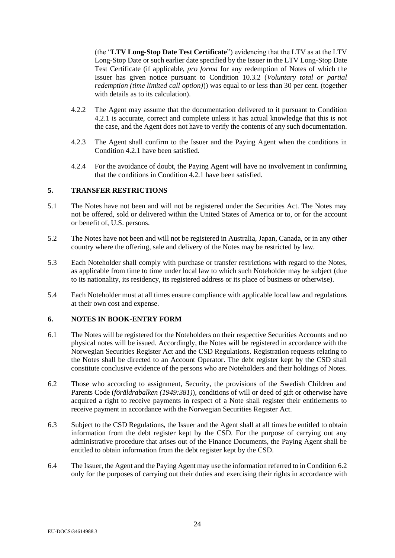(the "**LTV Long-Stop Date Test Certificate**") evidencing that the LTV as at the LTV Long-Stop Date or such earlier date specified by the Issuer in the LTV Long-Stop Date Test Certificate (if applicable, *pro forma* for any redemption of Notes of which the Issuer has given notice pursuant to Condition [10.3.2](#page-27-1) (*Voluntary total or partial redemption (time limited call option)*)) was equal to or less than 30 per cent. (together with details as to its calculation).

- 4.2.2 The Agent may assume that the documentation delivered to it pursuant to Condition [4.2.1](#page-22-4) is accurate, correct and complete unless it has actual knowledge that this is not the case, and the Agent does not have to verify the contents of any such documentation.
- 4.2.3 The Agent shall confirm to the Issuer and the Paying Agent when the conditions in Conditio[n 4.2.1](#page-22-4) have been satisfied.
- 4.2.4 For the avoidance of doubt, the Paying Agent will have no involvement in confirming that the conditions in Condition [4.2.1](#page-22-4) have been satisfied.

# <span id="page-23-0"></span>**5. TRANSFER RESTRICTIONS**

- 5.1 The Notes have not been and will not be registered under the Securities Act. The Notes may not be offered, sold or delivered within the United States of America or to, or for the account or benefit of, U.S. persons.
- 5.2 The Notes have not been and will not be registered in Australia, Japan, Canada, or in any other country where the offering, sale and delivery of the Notes may be restricted by law.
- 5.3 Each Noteholder shall comply with purchase or transfer restrictions with regard to the Notes, as applicable from time to time under local law to which such Noteholder may be subject (due to its nationality, its residency, its registered address or its place of business or otherwise).
- 5.4 Each Noteholder must at all times ensure compliance with applicable local law and regulations at their own cost and expense.

# <span id="page-23-2"></span>**6. NOTES IN BOOK-ENTRY FORM**

- 6.1 The Notes will be registered for the Noteholders on their respective Securities Accounts and no physical notes will be issued. Accordingly, the Notes will be registered in accordance with the Norwegian Securities Register Act and the CSD Regulations. Registration requests relating to the Notes shall be directed to an Account Operator. The debt register kept by the CSD shall constitute conclusive evidence of the persons who are Noteholders and their holdings of Notes.
- 6.2 Those who according to assignment, Security, the provisions of the Swedish Children and Parents Code (*föräldrabalken (1949:381)*), conditions of will or deed of gift or otherwise have acquired a right to receive payments in respect of a Note shall register their entitlements to receive payment in accordance with the Norwegian Securities Register Act.
- <span id="page-23-1"></span>6.3 Subject to the CSD Regulations, the Issuer and the Agent shall at all times be entitled to obtain information from the debt register kept by the CSD. For the purpose of carrying out any administrative procedure that arises out of the Finance Documents, the Paying Agent shall be entitled to obtain information from the debt register kept by the CSD.
- 6.4 The Issuer, the Agent and the Paying Agent may use the information referred to in Condition [6.2](#page-23-1) only for the purposes of carrying out their duties and exercising their rights in accordance with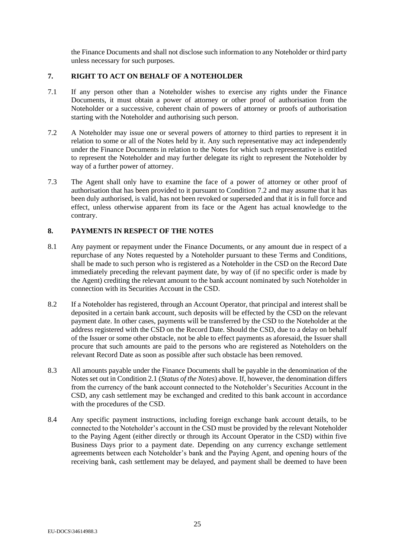the Finance Documents and shall not disclose such information to any Noteholder or third party unless necessary for such purposes.

# **7. RIGHT TO ACT ON BEHALF OF A NOTEHOLDER**

- 7.1 If any person other than a Noteholder wishes to exercise any rights under the Finance Documents, it must obtain a power of attorney or other proof of authorisation from the Noteholder or a successive, coherent chain of powers of attorney or proofs of authorisation starting with the Noteholder and authorising such person.
- <span id="page-24-0"></span>7.2 A Noteholder may issue one or several powers of attorney to third parties to represent it in relation to some or all of the Notes held by it. Any such representative may act independently under the Finance Documents in relation to the Notes for which such representative is entitled to represent the Noteholder and may further delegate its right to represent the Noteholder by way of a further power of attorney.
- 7.3 The Agent shall only have to examine the face of a power of attorney or other proof of authorisation that has been provided to it pursuant to Condition [7.2](#page-24-0) and may assume that it has been duly authorised, is valid, has not been revoked or superseded and that it is in full force and effect, unless otherwise apparent from its face or the Agent has actual knowledge to the contrary.

# **8. PAYMENTS IN RESPECT OF THE NOTES**

- <span id="page-24-1"></span>8.1 Any payment or repayment under the Finance Documents, or any amount due in respect of a repurchase of any Notes requested by a Noteholder pursuant to these Terms and Conditions, shall be made to such person who is registered as a Noteholder in the CSD on the Record Date immediately preceding the relevant payment date, by way of (if no specific order is made by the Agent) crediting the relevant amount to the bank account nominated by such Noteholder in connection with its Securities Account in the CSD.
- 8.2 If a Noteholder has registered, through an Account Operator, that principal and interest shall be deposited in a certain bank account, such deposits will be effected by the CSD on the relevant payment date. In other cases, payments will be transferred by the CSD to the Noteholder at the address registered with the CSD on the Record Date. Should the CSD, due to a delay on behalf of the Issuer or some other obstacle, not be able to effect payments as aforesaid, the Issuer shall procure that such amounts are paid to the persons who are registered as Noteholders on the relevant Record Date as soon as possible after such obstacle has been removed.
- 8.3 All amounts payable under the Finance Documents shall be payable in the denomination of the Notes set out in Conditio[n 2.1](#page-21-0) (*Status of the Notes*) above. If, however, the denomination differs from the currency of the bank account connected to the Noteholder's Securities Account in the CSD, any cash settlement may be exchanged and credited to this bank account in accordance with the procedures of the CSD.
- 8.4 Any specific payment instructions, including foreign exchange bank account details, to be connected to the Noteholder's account in the CSD must be provided by the relevant Noteholder to the Paying Agent (either directly or through its Account Operator in the CSD) within five Business Days prior to a payment date. Depending on any currency exchange settlement agreements between each Noteholder's bank and the Paying Agent, and opening hours of the receiving bank, cash settlement may be delayed, and payment shall be deemed to have been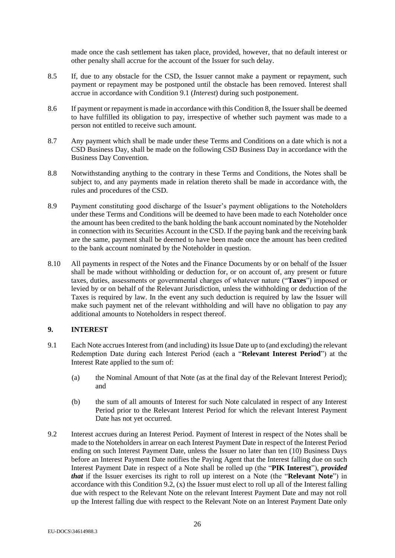made once the cash settlement has taken place, provided, however, that no default interest or other penalty shall accrue for the account of the Issuer for such delay.

- 8.5 If, due to any obstacle for the CSD, the Issuer cannot make a payment or repayment, such payment or repayment may be postponed until the obstacle has been removed. Interest shall accrue in accordance with Condition [9.1](#page-25-0) (*Interest*) during such postponement.
- 8.6 If payment or repayment is made in accordance with this Condition 8, the Issuer shall be deemed to have fulfilled its obligation to pay, irrespective of whether such payment was made to a person not entitled to receive such amount.
- 8.7 Any payment which shall be made under these Terms and Conditions on a date which is not a CSD Business Day, shall be made on the following CSD Business Day in accordance with the Business Day Convention.
- 8.8 Notwithstanding anything to the contrary in these Terms and Conditions, the Notes shall be subject to, and any payments made in relation thereto shall be made in accordance with, the rules and procedures of the CSD.
- 8.9 Payment constituting good discharge of the Issuer's payment obligations to the Noteholders under these Terms and Conditions will be deemed to have been made to each Noteholder once the amount has been credited to the bank holding the bank account nominated by the Noteholder in connection with its Securities Account in the CSD. If the paying bank and the receiving bank are the same, payment shall be deemed to have been made once the amount has been credited to the bank account nominated by the Noteholder in question.
- 8.10 All payments in respect of the Notes and the Finance Documents by or on behalf of the Issuer shall be made without withholding or deduction for, or on account of, any present or future taxes, duties, assessments or governmental charges of whatever nature ("**Taxes**") imposed or levied by or on behalf of the Relevant Jurisdiction, unless the withholding or deduction of the Taxes is required by law. In the event any such deduction is required by law the Issuer will make such payment net of the relevant withholding and will have no obligation to pay any additional amounts to Noteholders in respect thereof.

# <span id="page-25-2"></span>**9. INTEREST**

- <span id="page-25-0"></span>9.1 Each Note accrues Interest from (and including) its Issue Date up to (and excluding) the relevant Redemption Date during each Interest Period (each a "**Relevant Interest Period**") at the Interest Rate applied to the sum of:
	- (a) the Nominal Amount of that Note (as at the final day of the Relevant Interest Period); and
	- (b) the sum of all amounts of Interest for such Note calculated in respect of any Interest Period prior to the Relevant Interest Period for which the relevant Interest Payment Date has not yet occurred.
- <span id="page-25-1"></span>9.2 Interest accrues during an Interest Period. Payment of Interest in respect of the Notes shall be made to the Noteholders in arrear on each Interest Payment Date in respect of the Interest Period ending on such Interest Payment Date, unless the Issuer no later than ten (10) Business Days before an Interest Payment Date notifies the Paying Agent that the Interest falling due on such Interest Payment Date in respect of a Note shall be rolled up (the "**PIK Interest**"), *provided that* if the Issuer exercises its right to roll up interest on a Note (the "**Relevant Note**") in accordance with this Condition 9.2, (x) the Issuer must elect to roll up all of the Interest falling due with respect to the Relevant Note on the relevant Interest Payment Date and may not roll up the Interest falling due with respect to the Relevant Note on an Interest Payment Date only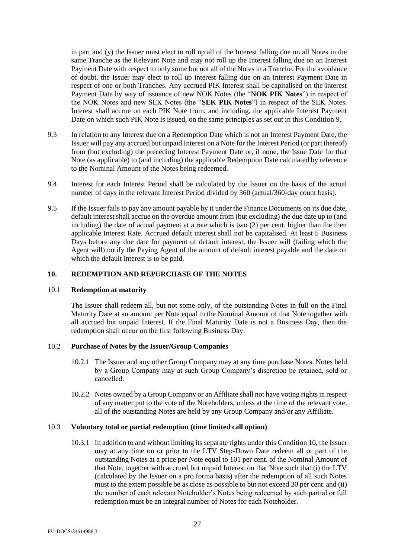in part and (y) the Issuer must elect to roll up all of the Interest falling due on all Notes in the same Tranche as the Relevant Note and may not roll up the Interest falling due on an Interest Payment Date with respect to only some but not all of the Notes in a Tranche. For the avoidance of doubt, the Issuer may elect to roll up interest falling due on an Interest Payment Date in respect of one or both Tranches. Any accrued PIK Interest shall be capitalised on the Interest Payment Date by way of issuance of new NOK Notes (the "**NOK PIK Notes**") in respect of the NOK Notes and new SEK Notes (the "**SEK PIK Notes**") in respect of the SEK Notes. Interest shall accrue on each PIK Note from, and including, the applicable Interest Payment Date on which such PIK Note is issued, on the same principles as set out in this Condition [9.](#page-25-2)

- 9.3 In relation to any Interest due on a Redemption Date which is not an Interest Payment Date, the Issuer will pay any accrued but unpaid Interest on a Note for the Interest Period (or part thereof) from (but excluding) the preceding Interest Payment Date or, if none, the Issue Date for that Note (as applicable) to (and including) the applicable Redemption Date calculated by reference to the Nominal Amount of the Notes being redeemed.
- 9.4 Interest for each Interest Period shall be calculated by the Issuer on the basis of the actual number of days in the relevant Interest Period divided by 360 (actual/360-day count basis).
- <span id="page-26-0"></span>9.5 If the Issuer fails to pay any amount payable by it under the Finance Documents on its due date, default interest shall accrue on the overdue amount from (but excluding) the due date up to (and including) the date of actual payment at a rate which is two (2) per cent. higher than the then applicable Interest Rate. Accrued default interest shall not be capitalised. At least 5 Business Days before any due date for payment of default interest, the Issuer will (failing which the Agent will) notify the Paying Agent of the amount of default interest payable and the date on which the default interest is to be paid.

#### <span id="page-26-1"></span>**10. REDEMPTION AND REPURCHASE OF THE NOTES**

#### 10.1 **Redemption at maturity**

The Issuer shall redeem all, but not some only, of the outstanding Notes in full on the Final Maturity Date at an amount per Note equal to the Nominal Amount of that Note together with all accrued but unpaid Interest. If the Final Maturity Date is not a Business Day, then the redemption shall occur on the first following Business Day.

# 10.2 **Purchase of Notes by the Issuer/Group Companies**

- 10.2.1 The Issuer and any other Group Company may at any time purchase Notes. Notes held by a Group Company may at such Group Company's discretion be retained, sold or cancelled.
- 10.2.2 Notes owned by a Group Company or an Affiliate shall not have voting rights in respect of any matter put to the vote of the Noteholders, unless at the time of the relevant vote, all of the outstanding Notes are held by any Group Company and/or any Affiliate.

#### <span id="page-26-2"></span>10.3 **Voluntary total or partial redemption (time limited call option)**

10.3.1 In addition to and without limiting its separate rights under this Conditio[n 10,](#page-26-1) the Issuer may at any time on or prior to the LTV Step-Down Date redeem all or part of the outstanding Notes at a price per Note equal to 101 per cent. of the Nominal Amount of that Note, together with accrued but unpaid Interest on that Note such that (i) the LTV (calculated by the Issuer on a pro forma basis) after the redemption of all such Notes must to the extent possible be as close as possible to but not exceed 30 per cent. and (ii) the number of each relevant Noteholder's Notes being redeemed by such partial or full redemption must be an integral number of Notes for each Noteholder.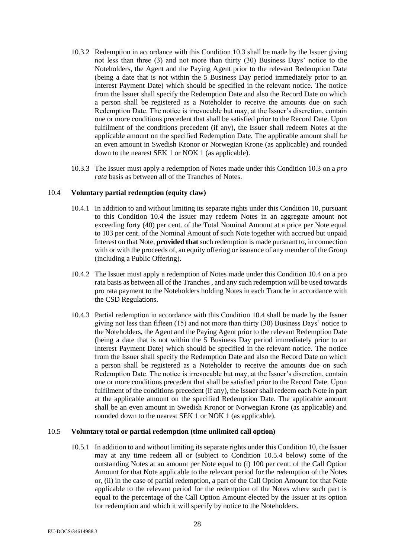- <span id="page-27-1"></span>10.3.2 Redemption in accordance with this Condition [10.3](#page-26-2) shall be made by the Issuer giving not less than three (3) and not more than thirty (30) Business Days' notice to the Noteholders, the Agent and the Paying Agent prior to the relevant Redemption Date (being a date that is not within the 5 Business Day period immediately prior to an Interest Payment Date) which should be specified in the relevant notice. The notice from the Issuer shall specify the Redemption Date and also the Record Date on which a person shall be registered as a Noteholder to receive the amounts due on such Redemption Date. The notice is irrevocable but may, at the Issuer's discretion, contain one or more conditions precedent that shall be satisfied prior to the Record Date. Upon fulfilment of the conditions precedent (if any), the Issuer shall redeem Notes at the applicable amount on the specified Redemption Date. The applicable amount shall be an even amount in Swedish Kronor or Norwegian Krone (as applicable) and rounded down to the nearest SEK 1 or NOK 1 (as applicable).
- 10.3.3 The Issuer must apply a redemption of Notes made under this Condition [10.3](#page-26-2) on a *pro rata* basis as between all of the Tranches of Notes.

#### <span id="page-27-2"></span>10.4 **Voluntary partial redemption (equity claw)**

- 10.4.1 In addition to and without limiting its separate rights under this Condition [10,](#page-26-1) pursuant to this Condition [10.4](#page-27-2) the Issuer may redeem Notes in an aggregate amount not exceeding forty (40) per cent. of the Total Nominal Amount at a price per Note equal to 103 per cent. of the Nominal Amount of such Note together with accrued but unpaid Interest on that Note, **provided that**such redemption is made pursuant to, in connection with or with the proceeds of, an equity offering or issuance of any member of the Group (including a Public Offering).
- 10.4.2 The Issuer must apply a redemption of Notes made under this Condition [10.4](#page-27-2) on a pro rata basis as between all of the Tranches , and any such redemption will be used towards pro rata payment to the Noteholders holding Notes in each Tranche in accordance with the CSD Regulations.
- <span id="page-27-4"></span>10.4.3 Partial redemption in accordance with this Condition [10.4](#page-27-2) shall be made by the Issuer giving not less than fifteen (15) and not more than thirty (30) Business Days' notice to the Noteholders, the Agent and the Paying Agent prior to the relevant Redemption Date (being a date that is not within the 5 Business Day period immediately prior to an Interest Payment Date) which should be specified in the relevant notice. The notice from the Issuer shall specify the Redemption Date and also the Record Date on which a person shall be registered as a Noteholder to receive the amounts due on such Redemption Date. The notice is irrevocable but may, at the Issuer's discretion, contain one or more conditions precedent that shall be satisfied prior to the Record Date. Upon fulfilment of the conditions precedent (if any), the Issuer shall redeem each Note in part at the applicable amount on the specified Redemption Date. The applicable amount shall be an even amount in Swedish Kronor or Norwegian Krone (as applicable) and rounded down to the nearest SEK 1 or NOK 1 (as applicable).

## <span id="page-27-3"></span><span id="page-27-0"></span>10.5 **Voluntary total or partial redemption (time unlimited call option)**

10.5.1 In addition to and without limiting its separate rights under this Conditio[n 10,](#page-26-1) the Issuer may at any time redeem all or (subject to Condition [10.5.4](#page-28-0) below) some of the outstanding Notes at an amount per Note equal to (i) 100 per cent. of the Call Option Amount for that Note applicable to the relevant period for the redemption of the Notes or, (ii) in the case of partial redemption, a part of the Call Option Amount for that Note applicable to the relevant period for the redemption of the Notes where such part is equal to the percentage of the Call Option Amount elected by the Issuer at its option for redemption and which it will specify by notice to the Noteholders.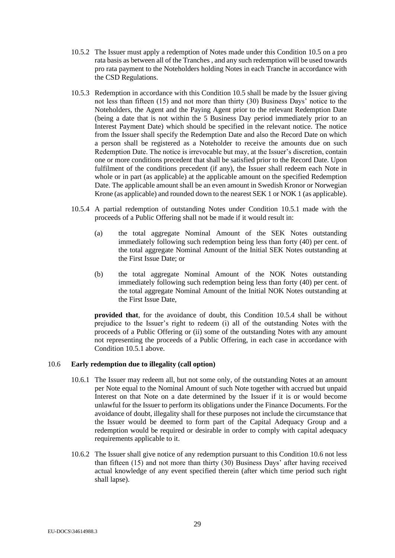- 10.5.2 The Issuer must apply a redemption of Notes made under this Condition [10.5](#page-27-0) on a pro rata basis as between all of the Tranches , and any such redemption will be used towards pro rata payment to the Noteholders holding Notes in each Tranche in accordance with the CSD Regulations.
- <span id="page-28-2"></span>10.5.3 Redemption in accordance with this Condition [10.5](#page-27-0) shall be made by the Issuer giving not less than fifteen (15) and not more than thirty (30) Business Days' notice to the Noteholders, the Agent and the Paying Agent prior to the relevant Redemption Date (being a date that is not within the 5 Business Day period immediately prior to an Interest Payment Date) which should be specified in the relevant notice. The notice from the Issuer shall specify the Redemption Date and also the Record Date on which a person shall be registered as a Noteholder to receive the amounts due on such Redemption Date. The notice is irrevocable but may, at the Issuer's discretion, contain one or more conditions precedent that shall be satisfied prior to the Record Date. Upon fulfilment of the conditions precedent (if any), the Issuer shall redeem each Note in whole or in part (as applicable) at the applicable amount on the specified Redemption Date. The applicable amount shall be an even amount in Swedish Kronor or Norwegian Krone (as applicable) and rounded down to the nearest SEK 1 or NOK 1 (as applicable).
- <span id="page-28-0"></span>10.5.4 A partial redemption of outstanding Notes under Condition [10.5.1](#page-27-3) made with the proceeds of a Public Offering shall not be made if it would result in:
	- (a) the total aggregate Nominal Amount of the SEK Notes outstanding immediately following such redemption being less than forty (40) per cent. of the total aggregate Nominal Amount of the Initial SEK Notes outstanding at the First Issue Date; or
	- (b) the total aggregate Nominal Amount of the NOK Notes outstanding immediately following such redemption being less than forty (40) per cent. of the total aggregate Nominal Amount of the Initial NOK Notes outstanding at the First Issue Date,

**provided that**, for the avoidance of doubt, this Condition [10.5.4](#page-28-0) shall be without prejudice to the Issuer's right to redeem (i) all of the outstanding Notes with the proceeds of a Public Offering or (ii) some of the outstanding Notes with any amount not representing the proceeds of a Public Offering, in each case in accordance with Condition [10.5.1](#page-27-3) above.

# <span id="page-28-1"></span>10.6 **Early redemption due to illegality (call option)**

- 10.6.1 The Issuer may redeem all, but not some only, of the outstanding Notes at an amount per Note equal to the Nominal Amount of such Note together with accrued but unpaid Interest on that Note on a date determined by the Issuer if it is or would become unlawful for the Issuer to perform its obligations under the Finance Documents. For the avoidance of doubt, illegality shall for these purposes not include the circumstance that the Issuer would be deemed to form part of the Capital Adequacy Group and a redemption would be required or desirable in order to comply with capital adequacy requirements applicable to it.
- 10.6.2 The Issuer shall give notice of any redemption pursuant to this Condition [10.6](#page-28-1) not less than fifteen (15) and not more than thirty (30) Business Days' after having received actual knowledge of any event specified therein (after which time period such right shall lapse).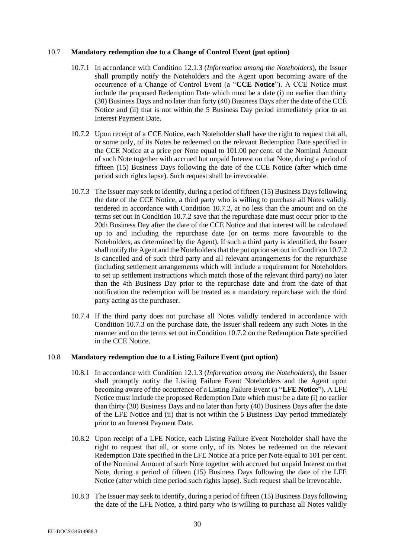#### <span id="page-29-3"></span>10.7 **Mandatory redemption due to a Change of Control Event (put option)**

- 10.7.1 In accordance with Condition [12.1.3](#page-32-0) (*Information among the Noteholders*), the Issuer shall promptly notify the Noteholders and the Agent upon becoming aware of the occurrence of a Change of Control Event (a "**CCE Notice**"). A CCE Notice must include the proposed Redemption Date which must be a date (i) no earlier than thirty (30) Business Days and no later than forty (40) Business Days after the date of the CCE Notice and (ii) that is not within the 5 Business Day period immediately prior to an Interest Payment Date.
- <span id="page-29-0"></span>10.7.2 Upon receipt of a CCE Notice, each Noteholder shall have the right to request that all, or some only, of its Notes be redeemed on the relevant Redemption Date specified in the CCE Notice at a price per Note equal to 101.00 per cent. of the Nominal Amount of such Note together with accrued but unpaid Interest on that Note, during a period of fifteen (15) Business Days following the date of the CCE Notice (after which time period such rights lapse). Such request shall be irrevocable.
- <span id="page-29-1"></span>10.7.3 The Issuer may seek to identify, during a period of fifteen (15) Business Days following the date of the CCE Notice, a third party who is willing to purchase all Notes validly tendered in accordance with Condition [10.7.2,](#page-29-0) at no less than the amount and on the terms set out in Condition [10.7.2](#page-29-0) save that the repurchase date must occur prior to the 20th Business Day after the date of the CCE Notice and that interest will be calculated up to and including the repurchase date (or on terms more favourable to the Noteholders, as determined by the Agent). If such a third party is identified, the Issuer shall notify the Agent and the Noteholders that the put option set out in Conditio[n 10.7.2](#page-29-0) is cancelled and of such third party and all relevant arrangements for the repurchase (including settlement arrangements which will include a requirement for Noteholders to set up settlement instructions which match those of the relevant third party) no later than the 4th Business Day prior to the repurchase date and from the date of that notification the redemption will be treated as a mandatory repurchase with the third party acting as the purchaser.
- 10.7.4 If the third party does not purchase all Notes validly tendered in accordance with Condition [10.7.3](#page-29-1) on the purchase date, the Issuer shall redeem any such Notes in the manner and on the terms set out in Conditio[n 10.7.2](#page-29-0) on the Redemption Date specified in the CCE Notice.

#### <span id="page-29-4"></span>10.8 **Mandatory redemption due to a Listing Failure Event (put option)**

- 10.8.1 In accordance with Condition [12.1.3](#page-32-0) (*Information among the Noteholders*), the Issuer shall promptly notify the Listing Failure Event Noteholders and the Agent upon becoming aware of the occurrence of a Listing Failure Event (a "**LFE Notice**"). A LFE Notice must include the proposed Redemption Date which must be a date (i) no earlier than thirty (30) Business Days and no later than forty (40) Business Days after the date of the LFE Notice and (ii) that is not within the 5 Business Day period immediately prior to an Interest Payment Date.
- <span id="page-29-2"></span>10.8.2 Upon receipt of a LFE Notice, each Listing Failure Event Noteholder shall have the right to request that all, or some only, of its Notes be redeemed on the relevant Redemption Date specified in the LFE Notice at a price per Note equal to 101 per cent. of the Nominal Amount of such Note together with accrued but unpaid Interest on that Note, during a period of fifteen (15) Business Days following the date of the LFE Notice (after which time period such rights lapse). Such request shall be irrevocable.
- 10.8.3 The Issuer may seek to identify, during a period of fifteen (15) Business Days following the date of the LFE Notice, a third party who is willing to purchase all Notes validly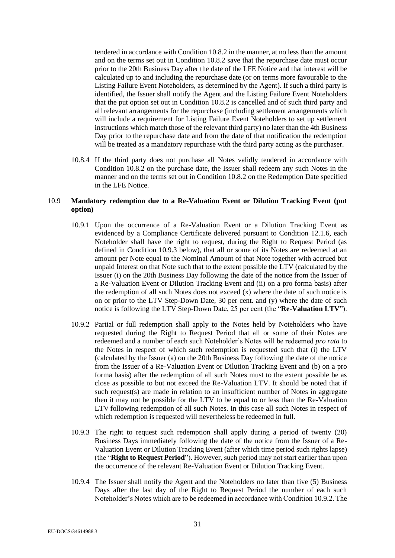tendered in accordance with Condition [10.8.2](#page-29-2) in the manner, at no less than the amount and on the terms set out in Condition [10.8.2](#page-29-2) save that the repurchase date must occur prior to the 20th Business Day after the date of the LFE Notice and that interest will be calculated up to and including the repurchase date (or on terms more favourable to the Listing Failure Event Noteholders, as determined by the Agent). If such a third party is identified, the Issuer shall notify the Agent and the Listing Failure Event Noteholders that the put option set out in Condition [10.8.2](#page-29-2) is cancelled and of such third party and all relevant arrangements for the repurchase (including settlement arrangements which will include a requirement for Listing Failure Event Noteholders to set up settlement instructions which match those of the relevant third party) no later than the 4th Business Day prior to the repurchase date and from the date of that notification the redemption will be treated as a mandatory repurchase with the third party acting as the purchaser.

10.8.4 If the third party does not purchase all Notes validly tendered in accordance with Condition [10.8.2](#page-29-2) on the purchase date, the Issuer shall redeem any such Notes in the manner and on the terms set out in Conditio[n 10.8.2](#page-29-2) on the Redemption Date specified in the LFE Notice.

# <span id="page-30-4"></span><span id="page-30-3"></span>10.9 **Mandatory redemption due to a Re-Valuation Event or Dilution Tracking Event (put option)**

- 10.9.1 Upon the occurrence of a Re-Valuation Event or a Dilution Tracking Event as evidenced by a Compliance Certificate delivered pursuant to Condition [12.1.6,](#page-33-0) each Noteholder shall have the right to request, during the Right to Request Period (as defined in Condition [10.9.3](#page-30-0) below), that all or some of its Notes are redeemed at an amount per Note equal to the Nominal Amount of that Note together with accrued but unpaid Interest on that Note such that to the extent possible the LTV (calculated by the Issuer (i) on the 20th Business Day following the date of the notice from the Issuer of a Re-Valuation Event or Dilution Tracking Event and (ii) on a pro forma basis) after the redemption of all such Notes does not exceed  $(x)$  where the date of such notice is on or prior to the LTV Step-Down Date, 30 per cent. and (y) where the date of such notice is following the LTV Step-Down Date, 25 per cent (the "**Re-Valuation LTV**").
- <span id="page-30-1"></span>10.9.2 Partial or full redemption shall apply to the Notes held by Noteholders who have requested during the Right to Request Period that all or some of their Notes are redeemed and a number of each such Noteholder's Notes will be redeemed *pro rata* to the Notes in respect of which such redemption is requested such that (i) the LTV (calculated by the Issuer (a) on the 20th Business Day following the date of the notice from the Issuer of a Re-Valuation Event or Dilution Tracking Event and (b) on a pro forma basis) after the redemption of all such Notes must to the extent possible be as close as possible to but not exceed the Re-Valuation LTV. It should be noted that if such request(s) are made in relation to an insufficient number of Notes in aggregate then it may not be possible for the LTV to be equal to or less than the Re-Valuation LTV following redemption of all such Notes. In this case all such Notes in respect of which redemption is requested will nevertheless be redeemed in full.
- <span id="page-30-0"></span>10.9.3 The right to request such redemption shall apply during a period of twenty (20) Business Days immediately following the date of the notice from the Issuer of a Re-Valuation Event or Dilution Tracking Event (after which time period such rights lapse) (the "**Right to Request Period**"). However, such period may not start earlier than upon the occurrence of the relevant Re-Valuation Event or Dilution Tracking Event.
- <span id="page-30-2"></span>10.9.4 The Issuer shall notify the Agent and the Noteholders no later than five (5) Business Days after the last day of the Right to Request Period the number of each such Noteholder's Notes which are to be redeemed in accordance with Condition [10.9.2.](#page-30-1) The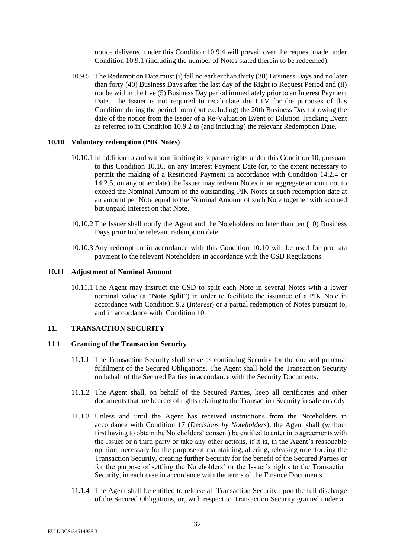notice delivered under this Condition [10.9.4](#page-30-2) will prevail over the request made under Conditio[n 10.9.1](#page-30-3) (including the number of Notes stated therein to be redeemed).

10.9.5 The Redemption Date must (i) fall no earlier than thirty (30) Business Days and no later than forty (40) Business Days after the last day of the Right to Request Period and (ii) not be within the five (5) Business Day period immediately prior to an Interest Payment Date. The Issuer is not required to recalculate the LTV for the purposes of this Condition during the period from (but excluding) the 20th Business Day following the date of the notice from the Issuer of a Re-Valuation Event or Dilution Tracking Event as referred to in Conditio[n 10.9.2](#page-30-1) to (and including) the relevant Redemption Date.

#### <span id="page-31-0"></span>**10.10 Voluntary redemption (PIK Notes)**

- 10.10.1 In addition to and without limiting its separate rights under this Condition [10,](#page-26-1) pursuant to this Condition [10.10,](#page-31-0) on any Interest Payment Date (or, to the extent necessary to permit the making of a Restricted Payment in accordance with Condition [14.2.4](#page-36-0) or [14.2.5,](#page-37-0) on any other date) the Issuer may redeem Notes in an aggregate amount not to exceed the Nominal Amount of the outstanding PIK Notes at such redemption date at an amount per Note equal to the Nominal Amount of such Note together with accrued but unpaid Interest on that Note.
- 10.10.2 The Issuer shall notify the Agent and the Noteholders no later than ten (10) Business Days prior to the relevant redemption date.
- 10.10.3 Any redemption in accordance with this Condition [10.10](#page-31-0) will be used for pro rata payment to the relevant Noteholders in accordance with the CSD Regulations.

## **10.11 Adjustment of Nominal Amount**

10.11.1 The Agent may instruct the CSD to split each Note in several Notes with a lower nominal value (a "**Note Split**") in order to facilitate the issuance of a PIK Note in accordance with Condition [9.2](#page-25-1) (*Interest*) or a partial redemption of Notes pursuant to, and in accordance with, Condition [10.](#page-26-1)

#### **11. TRANSACTION SECURITY**

#### 11.1 **Granting of the Transaction Security**

- 11.1.1 The Transaction Security shall serve as continuing Security for the due and punctual fulfilment of the Secured Obligations. The Agent shall hold the Transaction Security on behalf of the Secured Parties in accordance with the Security Documents.
- 11.1.2 The Agent shall, on behalf of the Secured Parties, keep all certificates and other documents that are bearers of rights relating to the Transaction Security in safe custody.
- 11.1.3 Unless and until the Agent has received instructions from the Noteholders in accordance with Condition [17](#page-41-0) (*Decisions by Noteholders*), the Agent shall (without first having to obtain the Noteholders' consent) be entitled to enter into agreements with the Issuer or a third party or take any other actions, if it is, in the Agent's reasonable opinion, necessary for the purpose of maintaining, altering, releasing or enforcing the Transaction Security, creating further Security for the benefit of the Secured Parties or for the purpose of settling the Noteholders' or the Issuer's rights to the Transaction Security, in each case in accordance with the terms of the Finance Documents.
- 11.1.4 The Agent shall be entitled to release all Transaction Security upon the full discharge of the Secured Obligations, or, with respect to Transaction Security granted under an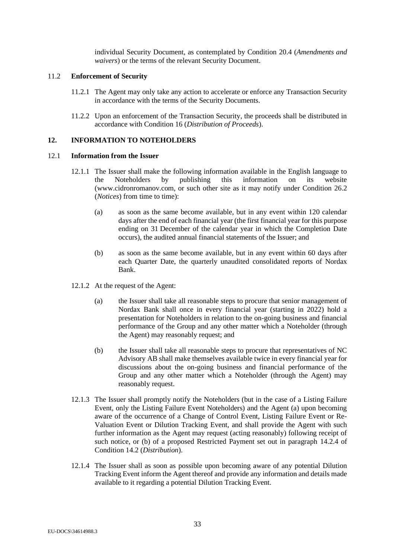individual Security Document, as contemplated by Condition [20.4](#page-46-0) (*Amendments and waivers*) or the terms of the relevant Security Document.

## 11.2 **Enforcement of Security**

- 11.2.1 The Agent may only take any action to accelerate or enforce any Transaction Security in accordance with the terms of the Security Documents.
- <span id="page-32-2"></span>11.2.2 Upon an enforcement of the Transaction Security, the proceeds shall be distributed in accordance with Condition [16](#page-40-1) (*Distribution of Proceeds*).

# **12. INFORMATION TO NOTEHOLDERS**

#### 12.1 **Information from the Issuer**

- <span id="page-32-1"></span>12.1.1 The Issuer shall make the following information available in the English language to the Noteholders by publishing this information on its website [\(www.cidronromanov.com, o](http://www.cidronhumber.com/)r such other site as it may notify under Condition [26.2](#page-53-1) (*Notices*) from time to time):
	- (a) as soon as the same become available, but in any event within 120 calendar days after the end of each financial year (the first financial year for this purpose ending on 31 December of the calendar year in which the Completion Date occurs), the audited annual financial statements of the Issuer; and
	- (b) as soon as the same become available, but in any event within 60 days after each Quarter Date, the quarterly unaudited consolidated reports of Nordax Bank.
- 12.1.2 At the request of the Agent:
	- (a) the Issuer shall take all reasonable steps to procure that senior management of Nordax Bank shall once in every financial year (starting in 2022) hold a presentation for Noteholders in relation to the on-going business and financial performance of the Group and any other matter which a Noteholder (through the Agent) may reasonably request; and
	- (b) the Issuer shall take all reasonable steps to procure that representatives of NC Advisory AB shall make themselves available twice in every financial year for discussions about the on-going business and financial performance of the Group and any other matter which a Noteholder (through the Agent) may reasonably request.
- <span id="page-32-0"></span>12.1.3 The Issuer shall promptly notify the Noteholders (but in the case of a Listing Failure Event, only the Listing Failure Event Noteholders) and the Agent (a) upon becoming aware of the occurrence of a Change of Control Event, Listing Failure Event or Re-Valuation Event or Dilution Tracking Event, and shall provide the Agent with such further information as the Agent may request (acting reasonably) following receipt of such notice, or (b) of a proposed Restricted Payment set out in paragraph [14.2.4](#page-36-0) of Conditio[n 14.2](#page-35-0) (*Distribution*).
- 12.1.4 The Issuer shall as soon as possible upon becoming aware of any potential Dilution Tracking Event inform the Agent thereof and provide any information and details made available to it regarding a potential Dilution Tracking Event.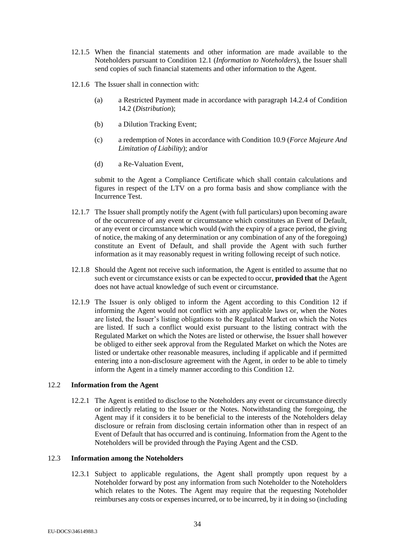- 12.1.5 When the financial statements and other information are made available to the Noteholders pursuant to Condition [12.1](#page-32-1) (*Information to Noteholders*), the Issuer shall send copies of such financial statements and other information to the Agent.
- <span id="page-33-0"></span>12.1.6 The Issuer shall in connection with:
	- (a) a Restricted Payment made in accordance with paragraph [14.2.4](#page-36-0) of Condition [14.2](#page-35-0) (*Distribution*);
	- (b) a Dilution Tracking Event;
	- (c) a redemption of Notes in accordance with Condition [10.9](#page-30-4) (*Force Majeure And Limitation of Liability*); and/or
	- (d) a Re-Valuation Event,

submit to the Agent a Compliance Certificate which shall contain calculations and figures in respect of the LTV on a pro forma basis and show compliance with the Incurrence Test.

- <span id="page-33-1"></span>12.1.7 The Issuer shall promptly notify the Agent (with full particulars) upon becoming aware of the occurrence of any event or circumstance which constitutes an Event of Default, or any event or circumstance which would (with the expiry of a grace period, the giving of notice, the making of any determination or any combination of any of the foregoing) constitute an Event of Default, and shall provide the Agent with such further information as it may reasonably request in writing following receipt of such notice.
- 12.1.8 Should the Agent not receive such information, the Agent is entitled to assume that no such event or circumstance exists or can be expected to occur, **provided that** the Agent does not have actual knowledge of such event or circumstance.
- 12.1.9 The Issuer is only obliged to inform the Agent according to this Condition [12](#page-32-2) if informing the Agent would not conflict with any applicable laws or, when the Notes are listed, the Issuer's listing obligations to the Regulated Market on which the Notes are listed. If such a conflict would exist pursuant to the listing contract with the Regulated Market on which the Notes are listed or otherwise, the Issuer shall however be obliged to either seek approval from the Regulated Market on which the Notes are listed or undertake other reasonable measures, including if applicable and if permitted entering into a non-disclosure agreement with the Agent, in order to be able to timely inform the Agent in a timely manner according to this Condition [12.](#page-32-2)

# 12.2 **Information from the Agent**

12.2.1 The Agent is entitled to disclose to the Noteholders any event or circumstance directly or indirectly relating to the Issuer or the Notes. Notwithstanding the foregoing, the Agent may if it considers it to be beneficial to the interests of the Noteholders delay disclosure or refrain from disclosing certain information other than in respect of an Event of Default that has occurred and is continuing. Information from the Agent to the Noteholders will be provided through the Paying Agent and the CSD.

# 12.3 **Information among the Noteholders**

12.3.1 Subject to applicable regulations, the Agent shall promptly upon request by a Noteholder forward by post any information from such Noteholder to the Noteholders which relates to the Notes. The Agent may require that the requesting Noteholder reimburses any costs or expenses incurred, or to be incurred, by it in doing so (including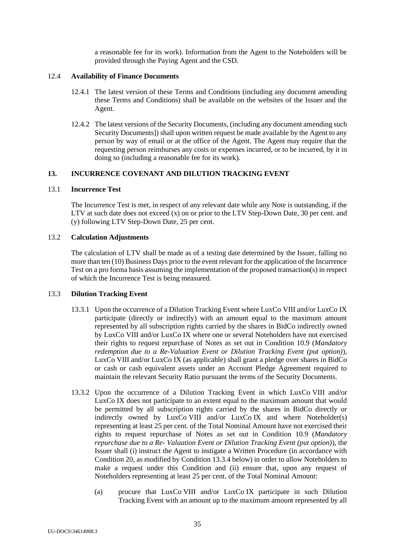a reasonable fee for its work). Information from the Agent to the Noteholders will be provided through the Paying Agent and the CSD.

#### <span id="page-34-3"></span>12.4 **Availability of Finance Documents**

- 12.4.1 The latest version of these Terms and Conditions (including any document amending these Terms and Conditions) shall be available on the websites of the Issuer and the Agent.
- 12.4.2 The latest versions of the Security Documents, (including any document amending such Security Documents]) shall upon written request be made available by the Agent to any person by way of email or at the office of the Agent. The Agent may require that the requesting person reimburses any costs or expenses incurred, or to be incurred, by it in doing so (including a reasonable fee for its work).

## <span id="page-34-0"></span>**13. INCURRENCE COVENANT AND DILUTION TRACKING EVENT**

#### 13.1 **Incurrence Test**

The Incurrence Test is met, in respect of any relevant date while any Note is outstanding, if the LTV at such date does not exceed (x) on or prior to the LTV Step-Down Date, 30 per cent. and (y) following LTV Step-Down Date, 25 per cent.

#### 13.2 **Calculation Adjustments**

The calculation of LTV shall be made as of a testing date determined by the Issuer, falling no more than ten (10) Business Days prior to the event relevant for the application of the Incurrence Test on a pro forma basis assuming the implementation of the proposed transaction(s) in respect of which the Incurrence Test is being measured.

# <span id="page-34-1"></span>13.3 **Dilution Tracking Event**

- 13.3.1 Upon the occurrence of a Dilution Tracking Event where LuxCo VIII and/or LuxCo IX participate (directly or indirectly) with an amount equal to the maximum amount represented by all subscription rights carried by the shares in BidCo indirectly owned by LuxCo VIII and/or LuxCo IX where one or several Noteholders have not exercised their rights to request repurchase of Notes as set out in Condition [10.9](#page-30-4) (*Mandatory redemption due to a Re-Valuation Event or Dilution Tracking Event (put option)*), LuxCo VIII and/or LuxCo IX (as applicable) shall grant a pledge over shares in BidCo or cash or cash equivalent assets under an Account Pledge Agreement required to maintain the relevant Security Ratio pursuant the terms of the Security Documents.
- <span id="page-34-2"></span>13.3.2 Upon the occurrence of a Dilution Tracking Event in which LuxCo VIII and/or LuxCo IX does not participate to an extent equal to the maximum amount that would be permitted by all subscription rights carried by the shares in BidCo directly or indirectly owned by LuxCo VIII and/or LuxCo IX and where Noteholder(s) representing at least 25 per cent. of the Total Nominal Amount have not exercised their rights to request repurchase of Notes as set out in Condition [10.9](#page-30-4) (*Mandatory repurchase due to a Re- Valuation Event or Dilution Tracking Event (put option)*), the Issuer shall (i) instruct the Agent to instigate a Written Procedure (in accordance with Conditio[n 20,](#page-45-1) as modified by Condition [13.3.4](#page-35-1) below) in order to allow Noteholders to make a request under this Condition and (ii) ensure that, upon any request of Noteholders representing at least 25 per cent. of the Total Nominal Amount:
	- (a) procure that LuxCo VIII and/or LuxCo IX participate in such Dilution Tracking Event with an amount up to the maximum amount represented by all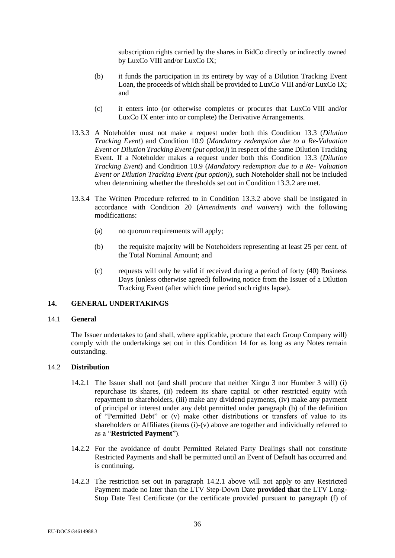subscription rights carried by the shares in BidCo directly or indirectly owned by LuxCo VIII and/or LuxCo IX;

- (b) it funds the participation in its entirety by way of a Dilution Tracking Event Loan, the proceeds of which shall be provided to LuxCo VIII and/or LuxCo IX; and
- (c) it enters into (or otherwise completes or procures that LuxCo VIII and/or LuxCo IX enter into or complete) the Derivative Arrangements.
- 13.3.3 A Noteholder must not make a request under both this Condition [13.3](#page-34-1) (*Dilution Tracking Event*) and Condition [10.9](#page-30-4) (*Mandatory redemption due to a Re-Valuation Event or Dilution Tracking Event (put option)*) in respect of the same Dilution Tracking Event. If a Noteholder makes a request under both this Condition [13.3](#page-34-1) (*Dilution Tracking Event*) and Condition [10.9](#page-30-4) (*Mandatory redemption due to a Re- Valuation Event or Dilution Tracking Event (put option)*), such Noteholder shall not be included when determining whether the thresholds set out in Condition [13.3.2](#page-34-2) are met.
- <span id="page-35-1"></span>13.3.4 The Written Procedure referred to in Condition [13.3.2](#page-34-2) above shall be instigated in accordance with Condition [20](#page-45-1) (*Amendments and waivers*) with the following modifications:
	- (a) no quorum requirements will apply;
	- (b) the requisite majority will be Noteholders representing at least 25 per cent. of the Total Nominal Amount; and
	- (c) requests will only be valid if received during a period of forty (40) Business Days (unless otherwise agreed) following notice from the Issuer of a Dilution Tracking Event (after which time period such rights lapse).

# <span id="page-35-2"></span>**14. GENERAL UNDERTAKINGS**

# 14.1 **General**

The Issuer undertakes to (and shall, where applicable, procure that each Group Company will) comply with the undertakings set out in this Condition [14](#page-35-2) for as long as any Notes remain outstanding.

# <span id="page-35-3"></span><span id="page-35-0"></span>14.2 **Distribution**

- 14.2.1 The Issuer shall not (and shall procure that neither Xingu 3 nor Humber 3 will) (i) repurchase its shares, (ii) redeem its share capital or other restricted equity with repayment to shareholders, (iii) make any dividend payments, (iv) make any payment of principal or interest under any debt permitted under paragraph [\(b\)](#page-15-1) of the definition of "Permitted Debt" or (v) make other distributions or transfers of value to its shareholders or Affiliates (items (i)-(v) above are together and individually referred to as a "**Restricted Payment**").
- 14.2.2 For the avoidance of doubt Permitted Related Party Dealings shall not constitute Restricted Payments and shall be permitted until an Event of Default has occurred and is continuing.
- 14.2.3 The restriction set out in paragraph [14.2.1](#page-35-3) above will not apply to any Restricted Payment made no later than the LTV Step-Down Date **provided that** the LTV Long-Stop Date Test Certificate (or the certificate provided pursuant to paragraph [\(f\)](#page-22-2) of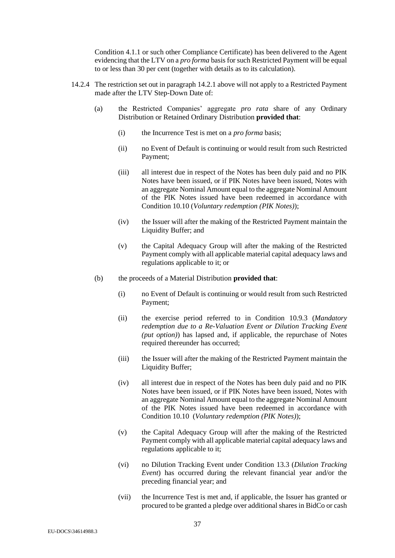Condition [4.1.1](#page-22-3) or such other Compliance Certificate) has been delivered to the Agent evidencing that the LTV on a *pro forma* basis for such Restricted Payment will be equal to or less than 30 per cent (together with details as to its calculation).

- <span id="page-36-0"></span>14.2.4 The restriction set out in paragraph [14.2.1](#page-35-3) above will not apply to a Restricted Payment made after the LTV Step-Down Date of:
	- (a) the Restricted Companies' aggregate *pro rata* share of any Ordinary Distribution or Retained Ordinary Distribution **provided that**:
		- (i) the Incurrence Test is met on a *pro forma* basis;
		- (ii) no Event of Default is continuing or would result from such Restricted Payment;
		- (iii) all interest due in respect of the Notes has been duly paid and no PIK Notes have been issued, or if PIK Notes have been issued, Notes with an aggregate Nominal Amount equal to the aggregate Nominal Amount of the PIK Notes issued have been redeemed in accordance with Condition [10.10](#page-31-0) (*Voluntary redemption (PIK Notes)*);
		- (iv) the Issuer will after the making of the Restricted Payment maintain the Liquidity Buffer; and
		- (v) the Capital Adequacy Group will after the making of the Restricted Payment comply with all applicable material capital adequacy laws and regulations applicable to it; or
	- (b) the proceeds of a Material Distribution **provided that**:
		- (i) no Event of Default is continuing or would result from such Restricted Payment;
		- (ii) the exercise period referred to in Condition [10.9.3](#page-30-0) (*Mandatory redemption due to a Re-Valuation Event or Dilution Tracking Event (put option)*) has lapsed and, if applicable, the repurchase of Notes required thereunder has occurred;
		- (iii) the Issuer will after the making of the Restricted Payment maintain the Liquidity Buffer;
		- (iv) all interest due in respect of the Notes has been duly paid and no PIK Notes have been issued, or if PIK Notes have been issued, Notes with an aggregate Nominal Amount equal to the aggregate Nominal Amount of the PIK Notes issued have been redeemed in accordance with Condition [10.10](#page-31-0) (*Voluntary redemption (PIK Notes)*);
		- (v) the Capital Adequacy Group will after the making of the Restricted Payment comply with all applicable material capital adequacy laws and regulations applicable to it;
		- (vi) no Dilution Tracking Event under Condition [13.3](#page-34-1) (*Dilution Tracking Event*) has occurred during the relevant financial year and/or the preceding financial year; and
		- (vii) the Incurrence Test is met and, if applicable, the Issuer has granted or procured to be granted a pledge over additional shares in BidCo or cash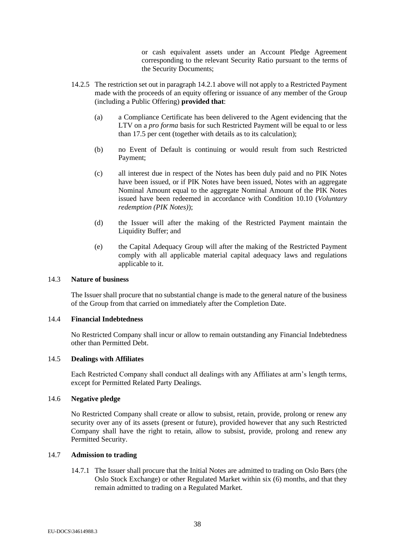or cash equivalent assets under an Account Pledge Agreement corresponding to the relevant Security Ratio pursuant to the terms of the Security Documents;

- <span id="page-37-0"></span>14.2.5 The restriction set out in paragraph [14.2.1](#page-35-3) above will not apply to a Restricted Payment made with the proceeds of an equity offering or issuance of any member of the Group (including a Public Offering) **provided that**:
	- (a) a Compliance Certificate has been delivered to the Agent evidencing that the LTV on a *pro forma* basis for such Restricted Payment will be equal to or less than 17.5 per cent (together with details as to its calculation);
	- (b) no Event of Default is continuing or would result from such Restricted Payment;
	- (c) all interest due in respect of the Notes has been duly paid and no PIK Notes have been issued, or if PIK Notes have been issued, Notes with an aggregate Nominal Amount equal to the aggregate Nominal Amount of the PIK Notes issued have been redeemed in accordance with Condition [10.10](#page-31-0) (*Voluntary redemption (PIK Notes)*);
	- (d) the Issuer will after the making of the Restricted Payment maintain the Liquidity Buffer; and
	- (e) the Capital Adequacy Group will after the making of the Restricted Payment comply with all applicable material capital adequacy laws and regulations applicable to it.

## 14.3 **Nature of business**

The Issuer shall procure that no substantial change is made to the general nature of the business of the Group from that carried on immediately after the Completion Date.

#### 14.4 **Financial Indebtedness**

No Restricted Company shall incur or allow to remain outstanding any Financial Indebtedness other than Permitted Debt.

#### 14.5 **Dealings with Affiliates**

Each Restricted Company shall conduct all dealings with any Affiliates at arm's length terms, except for Permitted Related Party Dealings.

# 14.6 **Negative pledge**

No Restricted Company shall create or allow to subsist, retain, provide, prolong or renew any security over any of its assets (present or future), provided however that any such Restricted Company shall have the right to retain, allow to subsist, provide, prolong and renew any Permitted Security.

# 14.7 **Admission to trading**

14.7.1 The Issuer shall procure that the Initial Notes are admitted to trading on Oslo Børs (the Oslo Stock Exchange) or other Regulated Market within six (6) months, and that they remain admitted to trading on a Regulated Market.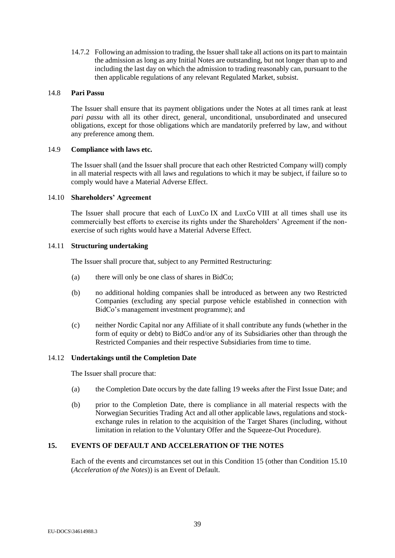14.7.2 Following an admission to trading, the Issuer shall take all actions on its part to maintain the admission as long as any Initial Notes are outstanding, but not longer than up to and including the last day on which the admission to trading reasonably can, pursuant to the then applicable regulations of any relevant Regulated Market, subsist.

#### 14.8 **Pari Passu**

The Issuer shall ensure that its payment obligations under the Notes at all times rank at least *pari passu* with all its other direct, general, unconditional, unsubordinated and unsecured obligations, except for those obligations which are mandatorily preferred by law, and without any preference among them.

#### 14.9 **Compliance with laws etc.**

The Issuer shall (and the Issuer shall procure that each other Restricted Company will) comply in all material respects with all laws and regulations to which it may be subject, if failure so to comply would have a Material Adverse Effect.

#### 14.10 **Shareholders' Agreement**

The Issuer shall procure that each of LuxCo IX and LuxCo VIII at all times shall use its commercially best efforts to exercise its rights under the Shareholders' Agreement if the nonexercise of such rights would have a Material Adverse Effect.

#### 14.11 **Structuring undertaking**

The Issuer shall procure that, subject to any Permitted Restructuring:

- (a) there will only be one class of shares in BidCo;
- (b) no additional holding companies shall be introduced as between any two Restricted Companies (excluding any special purpose vehicle established in connection with BidCo's management investment programme); and
- (c) neither Nordic Capital nor any Affiliate of it shall contribute any funds (whether in the form of equity or debt) to BidCo and/or any of its Subsidiaries other than through the Restricted Companies and their respective Subsidiaries from time to time.

# 14.12 **Undertakings until the Completion Date**

The Issuer shall procure that:

- (a) the Completion Date occurs by the date falling 19 weeks after the First Issue Date; and
- (b) prior to the Completion Date, there is compliance in all material respects with the Norwegian Securities Trading Act and all other applicable laws, regulations and stockexchange rules in relation to the acquisition of the Target Shares (including, without limitation in relation to the Voluntary Offer and the Squeeze-Out Procedure).

# <span id="page-38-0"></span>**15. EVENTS OF DEFAULT AND ACCELERATION OF THE NOTES**

Each of the events and circumstances set out in this Condition [15](#page-38-0) (other than Condition [15.10](#page-40-2) (*Acceleration of the Notes*)) is an Event of Default.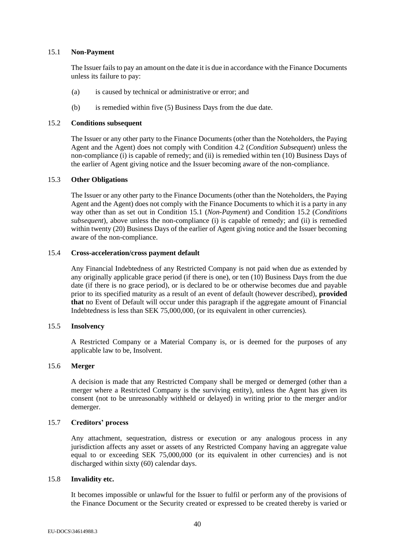#### <span id="page-39-0"></span>15.1 **Non-Payment**

The Issuer fails to pay an amount on the date it is due in accordance with the Finance Documents unless its failure to pay:

- (a) is caused by technical or administrative or error; and
- (b) is remedied within five (5) Business Days from the due date.

#### <span id="page-39-1"></span>15.2 **Conditions subsequent**

The Issuer or any other party to the Finance Documents (other than the Noteholders, the Paying Agent and the Agent) does not comply with Condition [4.2](#page-22-0) (*Condition Subsequent*) unless the non-compliance (i) is capable of remedy; and (ii) is remedied within ten (10) Business Days of the earlier of Agent giving notice and the Issuer becoming aware of the non-compliance.

#### 15.3 **Other Obligations**

The Issuer or any other party to the Finance Documents (other than the Noteholders, the Paying Agent and the Agent) does not comply with the Finance Documents to which it is a party in any way other than as set out in Condition [15.1](#page-39-0) (*Non-Payment*) and Condition [15.2](#page-39-1) (*Conditions subsequent*), above unless the non-compliance (i) is capable of remedy; and (ii) is remedied within twenty (20) Business Days of the earlier of Agent giving notice and the Issuer becoming aware of the non-compliance.

#### 15.4 **Cross-acceleration/cross payment default**

Any Financial Indebtedness of any Restricted Company is not paid when due as extended by any originally applicable grace period (if there is one), or ten (10) Business Days from the due date (if there is no grace period), or is declared to be or otherwise becomes due and payable prior to its specified maturity as a result of an event of default (however described), **provided that** no Event of Default will occur under this paragraph if the aggregate amount of Financial Indebtedness is less than SEK 75,000,000, (or its equivalent in other currencies).

# 15.5 **Insolvency**

A Restricted Company or a Material Company is, or is deemed for the purposes of any applicable law to be, Insolvent.

## 15.6 **Merger**

A decision is made that any Restricted Company shall be merged or demerged (other than a merger where a Restricted Company is the surviving entity), unless the Agent has given its consent (not to be unreasonably withheld or delayed) in writing prior to the merger and/or demerger.

# 15.7 **Creditors' process**

Any attachment, sequestration, distress or execution or any analogous process in any jurisdiction affects any asset or assets of any Restricted Company having an aggregate value equal to or exceeding SEK 75,000,000 (or its equivalent in other currencies) and is not discharged within sixty (60) calendar days.

# 15.8 **Invalidity etc.**

It becomes impossible or unlawful for the Issuer to fulfil or perform any of the provisions of the Finance Document or the Security created or expressed to be created thereby is varied or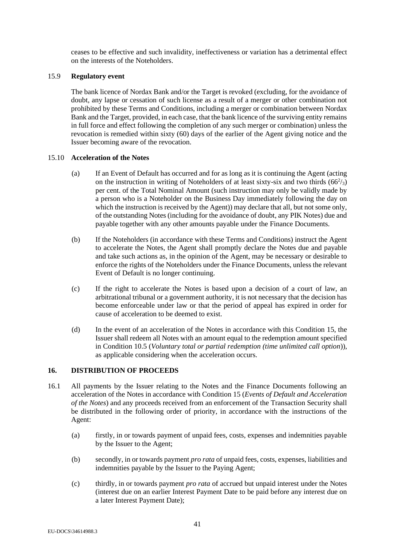ceases to be effective and such invalidity, ineffectiveness or variation has a detrimental effect on the interests of the Noteholders.

## <span id="page-40-0"></span>15.9 **Regulatory event**

The bank licence of Nordax Bank and/or the Target is revoked (excluding, for the avoidance of doubt, any lapse or cessation of such license as a result of a merger or other combination not prohibited by these Terms and Conditions, including a merger or combination between Nordax Bank and the Target, provided, in each case, that the bank licence of the surviving entity remains in full force and effect following the completion of any such merger or combination) unless the revocation is remedied within sixty (60) days of the earlier of the Agent giving notice and the Issuer becoming aware of the revocation.

#### <span id="page-40-2"></span>15.10 **Acceleration of the Notes**

- <span id="page-40-4"></span>(a) If an Event of Default has occurred and for as long as it is continuing the Agent (acting on the instruction in writing of Noteholders of at least sixty-six and two thirds  $(66^2/s)$ per cent. of the Total Nominal Amount (such instruction may only be validly made by a person who is a Noteholder on the Business Day immediately following the day on which the instruction is received by the Agent)) may declare that all, but not some only, of the outstanding Notes (including for the avoidance of doubt, any PIK Notes) due and payable together with any other amounts payable under the Finance Documents.
- (b) If the Noteholders (in accordance with these Terms and Conditions) instruct the Agent to accelerate the Notes, the Agent shall promptly declare the Notes due and payable and take such actions as, in the opinion of the Agent, may be necessary or desirable to enforce the rights of the Noteholders under the Finance Documents, unless the relevant Event of Default is no longer continuing.
- (c) If the right to accelerate the Notes is based upon a decision of a court of law, an arbitrational tribunal or a government authority, it is not necessary that the decision has become enforceable under law or that the period of appeal has expired in order for cause of acceleration to be deemed to exist.
- (d) In the event of an acceleration of the Notes in accordance with this Condition [15,](#page-38-0) the Issuer shall redeem all Notes with an amount equal to the redemption amount specified in Condition [10.5](#page-27-0) (*Voluntary total or partial redemption (time unlimited call option*)), as applicable considering when the acceleration occurs.

#### <span id="page-40-1"></span>**16. DISTRIBUTION OF PROCEEDS**

- <span id="page-40-3"></span>16.1 All payments by the Issuer relating to the Notes and the Finance Documents following an acceleration of the Notes in accordance with Condition [15](#page-38-0) (*Events of Default and Acceleration of the Notes*) and any proceeds received from an enforcement of the Transaction Security shall be distributed in the following order of priority, in accordance with the instructions of the Agent:
	- (a) firstly, in or towards payment of unpaid fees, costs, expenses and indemnities payable by the Issuer to the Agent;
	- (b) secondly, in or towards payment *pro rata* of unpaid fees, costs, expenses, liabilities and indemnities payable by the Issuer to the Paying Agent;
	- (c) thirdly, in or towards payment *pro rata* of accrued but unpaid interest under the Notes (interest due on an earlier Interest Payment Date to be paid before any interest due on a later Interest Payment Date);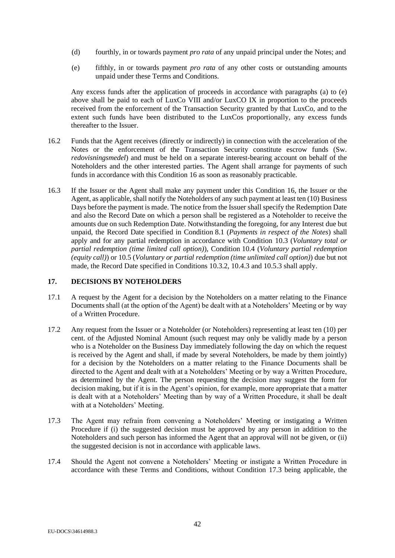- (d) fourthly, in or towards payment *pro rata* of any unpaid principal under the Notes; and
- <span id="page-41-1"></span>(e) fifthly, in or towards payment *pro rata* of any other costs or outstanding amounts unpaid under these Terms and Conditions.

Any excess funds after the application of proceeds in accordance with paragraphs [\(a\)](#page-40-3) to [\(e\)](#page-41-1) above shall be paid to each of LuxCo VIII and/or LuxCO IX in proportion to the proceeds received from the enforcement of the Transaction Security granted by that LuxCo, and to the extent such funds have been distributed to the LuxCos proportionally, any excess funds thereafter to the Issuer.

- 16.2 Funds that the Agent receives (directly or indirectly) in connection with the acceleration of the Notes or the enforcement of the Transaction Security constitute escrow funds (Sw. *redovisningsmedel*) and must be held on a separate interest-bearing account on behalf of the Noteholders and the other interested parties. The Agent shall arrange for payments of such funds in accordance with this Condition [16](#page-40-1) as soon as reasonably practicable.
- 16.3 If the Issuer or the Agent shall make any payment under this Condition [16,](#page-40-1) the Issuer or the Agent, as applicable, shall notify the Noteholders of any such payment at least ten (10) Business Days before the payment is made. The notice from the Issuer shall specify the Redemption Date and also the Record Date on which a person shall be registered as a Noteholder to receive the amounts due on such Redemption Date. Notwithstanding the foregoing, for any Interest due but unpaid, the Record Date specified in Condition [8.1](#page-24-1) (*Payments in respect of the Notes*) shall apply and for any partial redemption in accordance with Condition [10.3](#page-26-2) (*Voluntary total or partial redemption (time limited call option)*)*,* Condition [10.4](#page-27-2) (*Voluntary partial redemption (equity call)*) o[r 10.5](#page-27-0) (*Voluntary or partial redemption (time unlimited call option)*) due but not made, the Record Date specified in Conditions [10.3.2,](#page-27-1) [10.4.3](#page-27-4) an[d 10.5.3](#page-28-2) shall apply.

# <span id="page-41-3"></span><span id="page-41-0"></span>**17. DECISIONS BY NOTEHOLDERS**

- 17.1 A request by the Agent for a decision by the Noteholders on a matter relating to the Finance Documents shall (at the option of the Agent) be dealt with at a Noteholders' Meeting or by way of a Written Procedure.
- 17.2 Any request from the Issuer or a Noteholder (or Noteholders) representing at least ten (10) per cent. of the Adjusted Nominal Amount (such request may only be validly made by a person who is a Noteholder on the Business Day immediately following the day on which the request is received by the Agent and shall, if made by several Noteholders, be made by them jointly) for a decision by the Noteholders on a matter relating to the Finance Documents shall be directed to the Agent and dealt with at a Noteholders' Meeting or by way a Written Procedure, as determined by the Agent. The person requesting the decision may suggest the form for decision making, but if it is in the Agent's opinion, for example, more appropriate that a matter is dealt with at a Noteholders' Meeting than by way of a Written Procedure, it shall be dealt with at a Noteholders' Meeting.
- <span id="page-41-2"></span>17.3 The Agent may refrain from convening a Noteholders' Meeting or instigating a Written Procedure if (i) the suggested decision must be approved by any person in addition to the Noteholders and such person has informed the Agent that an approval will not be given, or (ii) the suggested decision is not in accordance with applicable laws.
- 17.4 Should the Agent not convene a Noteholders' Meeting or instigate a Written Procedure in accordance with these Terms and Conditions, without Condition [17.3](#page-41-2) being applicable, the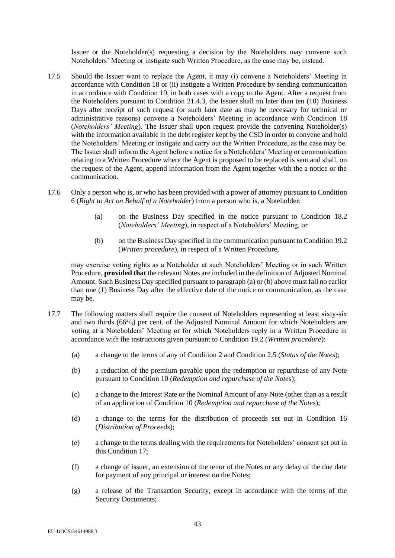Issuer or the Noteholder(s) requesting a decision by the Noteholders may convene such Noteholders' Meeting or instigate such Written Procedure, as the case may be, instead.

- 17.5 Should the Issuer want to replace the Agent, it may (i) convene a Noteholders' Meeting in accordance with Condition [18](#page-44-0) or (ii) instigate a Written Procedure by sending communication in accordance with Condition [19,](#page-45-0) in both cases with a copy to the Agent. After a request from the Noteholders pursuant to Condition [21.4.3,](#page-50-0) the Issuer shall no later than ten (10) Business Days after receipt of such request (or such later date as may be necessary for technical or administrative reasons) convene a Noteholders' Meeting in accordance with Condition [18](#page-44-0) (*Noteholders' Meeting*). The Issuer shall upon request provide the convening Noteholder(s) with the information available in the debt register kept by the CSD in order to convene and hold the Noteholders' Meeting or instigate and carry out the Written Procedure, as the case may be. The Issuer shall inform the Agent before a notice for a Noteholders' Meeting or communication relating to a Written Procedure where the Agent is proposed to be replaced is sent and shall, on the request of the Agent, append information from the Agent together with the a notice or the communication.
- <span id="page-42-0"></span>17.6 Only a person who is, or who has been provided with a power of attorney pursuant to Condition [6](#page-23-2) (*Right to Act on Behalf of a Noteholder*) from a person who is, a Noteholder:
	- (a) on the Business Day specified in the notice pursuant to Condition [18.2](#page-44-1) (*Noteholders' Meeting*), in respect of a Noteholders' Meeting, or
	- (b) on the Business Day specified in the communication pursuant to Conditio[n 19.2](#page-45-2) (*Written procedure*), in respect of a Written Procedure,

<span id="page-42-1"></span>may exercise voting rights as a Noteholder at such Noteholders' Meeting or in such Written Procedure, **provided that** the relevant Notes are included in the definition of Adjusted Nominal Amount. Such Business Day specified pursuant to paragraph [\(a\)](#page-42-0) o[r \(b\)](#page-42-1) above must fall no earlier than one (1) Business Day after the effective date of the notice or communication, as the case may be.

- <span id="page-42-2"></span>17.7 The following matters shall require the consent of Noteholders representing at least sixty-six and two thirds  $(66^2/s)$  per cent. of the Adjusted Nominal Amount for which Noteholders are voting at a Noteholders' Meeting or for which Noteholders reply in a Written Procedure in accordance with the instructions given pursuant to Condition [19.2](#page-45-2) (*Written procedure*):
	- (a) a change to the terms of any of Condition [2](#page-21-1) and Condition [2.5](#page-21-2) (*Status of the Notes*);
	- (b) a reduction of the premium payable upon the redemption or repurchase of any Note pursuant to Conditio[n 10](#page-26-1) (*Redemption and repurchase of the Note*s);
	- (c) a change to the Interest Rate or the Nominal Amount of any Note (other than as a result of an application of Condition [10](#page-26-1) (*Redemption and repurchase of the Note*s);
	- (d) a change to the terms for the distribution of proceeds set out in Condition [16](#page-40-1) (*Distribution of Proceeds*);
	- (e) a change to the terms dealing with the requirements for Noteholders' consent set out in this Condition [17;](#page-41-0)
	- (f) a change of issuer, an extension of the tenor of the Notes or any delay of the due date for payment of any principal or interest on the Notes;
	- (g) a release of the Transaction Security, except in accordance with the terms of the Security Documents;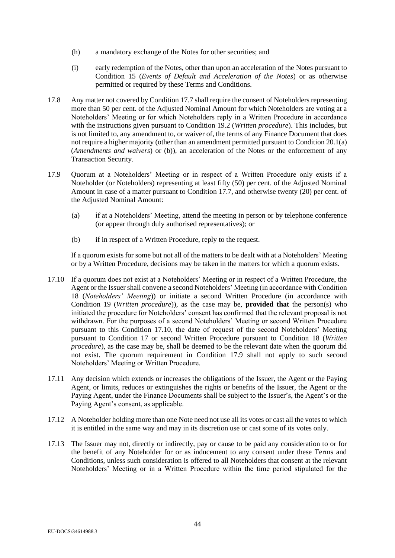- (h) a mandatory exchange of the Notes for other securities; and
- (i) early redemption of the Notes, other than upon an acceleration of the Notes pursuant to Condition [15](#page-38-0) (*Events of Default and Acceleration of the Notes*) or as otherwise permitted or required by these Terms and Conditions.
- <span id="page-43-2"></span>17.8 Any matter not covered by Condition [17.7](#page-42-2) shall require the consent of Noteholders representing more than 50 per cent. of the Adjusted Nominal Amount for which Noteholders are voting at a Noteholders' Meeting or for which Noteholders reply in a Written Procedure in accordance with the instructions given pursuant to Condition [19.2](#page-45-2) (*Written procedure*). This includes, but is not limited to, any amendment to, or waiver of, the terms of any Finance Document that does not require a higher majority (other than an amendment permitted pursuant to Condition [20.1\(a\)](#page-45-3) (*Amendments and waivers*) or [\(b\)\)](#page-45-4), an acceleration of the Notes or the enforcement of any Transaction Security.
- <span id="page-43-1"></span>17.9 Quorum at a Noteholders' Meeting or in respect of a Written Procedure only exists if a Noteholder (or Noteholders) representing at least fifty (50) per cent. of the Adjusted Nominal Amount in case of a matter pursuant to Condition [17.7,](#page-42-2) and otherwise twenty (20) per cent. of the Adjusted Nominal Amount:
	- (a) if at a Noteholders' Meeting, attend the meeting in person or by telephone conference (or appear through duly authorised representatives); or
	- (b) if in respect of a Written Procedure, reply to the request.

If a quorum exists for some but not all of the matters to be dealt with at a Noteholders' Meeting or by a Written Procedure, decisions may be taken in the matters for which a quorum exists.

- <span id="page-43-0"></span>17.10 If a quorum does not exist at a Noteholders' Meeting or in respect of a Written Procedure, the Agent or the Issuer shall convene a second Noteholders' Meeting (in accordance with Condition [18](#page-44-0) (*Noteholders' Meeting*)) or initiate a second Written Procedure (in accordance with Condition [19](#page-45-0) (*Written procedure*)), as the case may be, **provided that** the person(s) who initiated the procedure for Noteholders' consent has confirmed that the relevant proposal is not withdrawn. For the purposes of a second Noteholders' Meeting or second Written Procedure pursuant to this Condition [17.10,](#page-43-0) the date of request of the second Noteholders' Meeting pursuant to Condition [17](#page-41-3) or second Written Procedure pursuant to Condition [18](#page-44-0) (*Written procedure*), as the case may be, shall be deemed to be the relevant date when the quorum did not exist. The quorum requirement in Condition [17.9](#page-43-1) shall not apply to such second Noteholders' Meeting or Written Procedure.
- 17.11 Any decision which extends or increases the obligations of the Issuer, the Agent or the Paying Agent, or limits, reduces or extinguishes the rights or benefits of the Issuer, the Agent or the Paying Agent, under the Finance Documents shall be subject to the Issuer's, the Agent's or the Paying Agent's consent, as applicable.
- 17.12 A Noteholder holding more than one Note need not use all its votes or cast all the votes to which it is entitled in the same way and may in its discretion use or cast some of its votes only.
- 17.13 The Issuer may not, directly or indirectly, pay or cause to be paid any consideration to or for the benefit of any Noteholder for or as inducement to any consent under these Terms and Conditions, unless such consideration is offered to all Noteholders that consent at the relevant Noteholders' Meeting or in a Written Procedure within the time period stipulated for the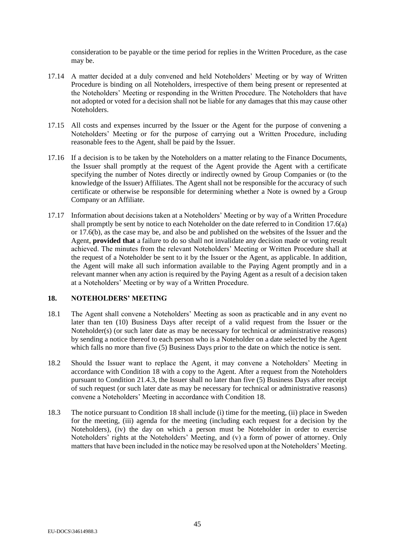consideration to be payable or the time period for replies in the Written Procedure, as the case may be.

- 17.14 A matter decided at a duly convened and held Noteholders' Meeting or by way of Written Procedure is binding on all Noteholders, irrespective of them being present or represented at the Noteholders' Meeting or responding in the Written Procedure. The Noteholders that have not adopted or voted for a decision shall not be liable for any damages that this may cause other Noteholders.
- 17.15 All costs and expenses incurred by the Issuer or the Agent for the purpose of convening a Noteholders' Meeting or for the purpose of carrying out a Written Procedure, including reasonable fees to the Agent, shall be paid by the Issuer.
- 17.16 If a decision is to be taken by the Noteholders on a matter relating to the Finance Documents, the Issuer shall promptly at the request of the Agent provide the Agent with a certificate specifying the number of Notes directly or indirectly owned by Group Companies or (to the knowledge of the Issuer) Affiliates. The Agent shall not be responsible for the accuracy of such certificate or otherwise be responsible for determining whether a Note is owned by a Group Company or an Affiliate.
- 17.17 Information about decisions taken at a Noteholders' Meeting or by way of a Written Procedure shall promptly be sent by notice to each Noteholder on the date referred to in Condition [17.6\(a\)](#page-42-0) or [17.6\(b\),](#page-42-1) as the case may be, and also be and published on the websites of the Issuer and the Agent, **provided that** a failure to do so shall not invalidate any decision made or voting result achieved. The minutes from the relevant Noteholders' Meeting or Written Procedure shall at the request of a Noteholder be sent to it by the Issuer or the Agent, as applicable. In addition, the Agent will make all such information available to the Paying Agent promptly and in a relevant manner when any action is required by the Paying Agent as a result of a decision taken at a Noteholders' Meeting or by way of a Written Procedure.

# <span id="page-44-0"></span>**18. NOTEHOLDERS' MEETING**

- <span id="page-44-2"></span>18.1 The Agent shall convene a Noteholders' Meeting as soon as practicable and in any event no later than ten (10) Business Days after receipt of a valid request from the Issuer or the Noteholder(s) (or such later date as may be necessary for technical or administrative reasons) by sending a notice thereof to each person who is a Noteholder on a date selected by the Agent which falls no more than five (5) Business Days prior to the date on which the notice is sent.
- <span id="page-44-1"></span>18.2 Should the Issuer want to replace the Agent, it may convene a Noteholders' Meeting in accordance with Condition [18](#page-44-0) with a copy to the Agent. After a request from the Noteholders pursuant to Condition [21.4.3,](#page-50-0) the Issuer shall no later than five (5) Business Days after receipt of such request (or such later date as may be necessary for technical or administrative reasons) convene a Noteholders' Meeting in accordance with Condition [18.](#page-44-0)
- 18.3 The notice pursuant to Condition [18](#page-44-0) shall include (i) time for the meeting, (ii) place in Sweden for the meeting, (iii) agenda for the meeting (including each request for a decision by the Noteholders), (iv) the day on which a person must be Noteholder in order to exercise Noteholders' rights at the Noteholders' Meeting, and (v) a form of power of attorney. Only matters that have been included in the notice may be resolved upon at the Noteholders' Meeting.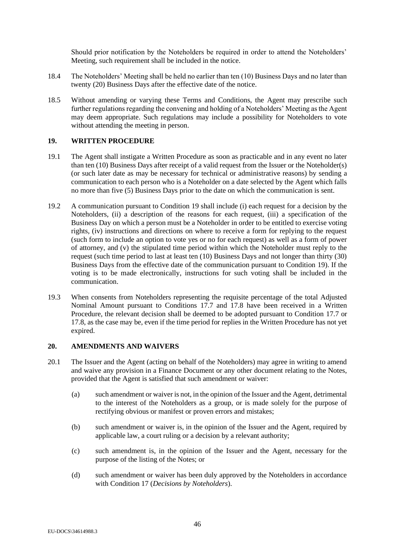Should prior notification by the Noteholders be required in order to attend the Noteholders' Meeting, such requirement shall be included in the notice.

- 18.4 The Noteholders' Meeting shall be held no earlier than ten (10) Business Days and no later than twenty (20) Business Days after the effective date of the notice.
- 18.5 Without amending or varying these Terms and Conditions, the Agent may prescribe such further regulations regarding the convening and holding of a Noteholders' Meeting as the Agent may deem appropriate. Such regulations may include a possibility for Noteholders to vote without attending the meeting in person.

# <span id="page-45-0"></span>**19. WRITTEN PROCEDURE**

- <span id="page-45-5"></span>19.1 The Agent shall instigate a Written Procedure as soon as practicable and in any event no later than ten (10) Business Days after receipt of a valid request from the Issuer or the Noteholder(s) (or such later date as may be necessary for technical or administrative reasons) by sending a communication to each person who is a Noteholder on a date selected by the Agent which falls no more than five (5) Business Days prior to the date on which the communication is sent.
- <span id="page-45-2"></span>19.2 A communication pursuant to Condition [19](#page-45-0) shall include (i) each request for a decision by the Noteholders, (ii) a description of the reasons for each request, (iii) a specification of the Business Day on which a person must be a Noteholder in order to be entitled to exercise voting rights, (iv) instructions and directions on where to receive a form for replying to the request (such form to include an option to vote yes or no for each request) as well as a form of power of attorney, and (v) the stipulated time period within which the Noteholder must reply to the request (such time period to last at least ten (10) Business Days and not longer than thirty (30) Business Days from the effective date of the communication pursuant to Condition [19\)](#page-45-0). If the voting is to be made electronically, instructions for such voting shall be included in the communication.
- <span id="page-45-6"></span>19.3 When consents from Noteholders representing the requisite percentage of the total Adjusted Nominal Amount pursuant to Conditions [17.7](#page-42-2) and [17.8](#page-43-2) have been received in a Written Procedure, the relevant decision shall be deemed to be adopted pursuant to Condition [17.7](#page-42-2) or [17.8,](#page-43-2) as the case may be, even if the time period for replies in the Written Procedure has not yet expired.

### <span id="page-45-1"></span>**20. AMENDMENTS AND WAIVERS**

- <span id="page-45-4"></span><span id="page-45-3"></span>20.1 The Issuer and the Agent (acting on behalf of the Noteholders) may agree in writing to amend and waive any provision in a Finance Document or any other document relating to the Notes, provided that the Agent is satisfied that such amendment or waiver:
	- (a) such amendment or waiver is not, in the opinion of the Issuer and the Agent, detrimental to the interest of the Noteholders as a group, or is made solely for the purpose of rectifying obvious or manifest or proven errors and mistakes;
	- (b) such amendment or waiver is, in the opinion of the Issuer and the Agent, required by applicable law, a court ruling or a decision by a relevant authority;
	- (c) such amendment is, in the opinion of the Issuer and the Agent, necessary for the purpose of the listing of the Notes; or
	- (d) such amendment or waiver has been duly approved by the Noteholders in accordance with Condition [17](#page-41-0) (*Decisions by Noteholders*).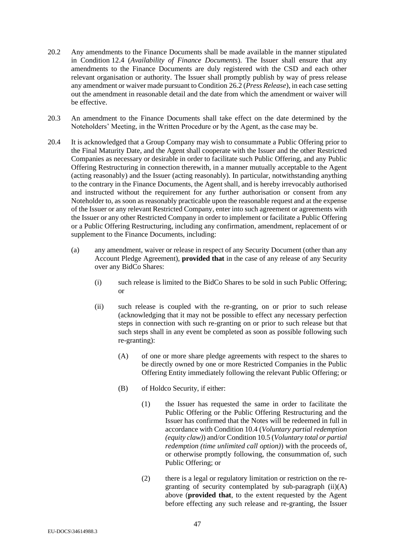- <span id="page-46-6"></span>20.2 Any amendments to the Finance Documents shall be made available in the manner stipulated in Condition [12.4](#page-34-3) (*Availability of Finance Documents*). The Issuer shall ensure that any amendments to the Finance Documents are duly registered with the CSD and each other relevant organisation or authority. The Issuer shall promptly publish by way of press release any amendment or waiver made pursuant to Condition [26.2](#page-53-1) (*Press Release*), in each case setting out the amendment in reasonable detail and the date from which the amendment or waiver will be effective.
- 20.3 An amendment to the Finance Documents shall take effect on the date determined by the Noteholders' Meeting, in the Written Procedure or by the Agent, as the case may be.
- <span id="page-46-5"></span><span id="page-46-4"></span><span id="page-46-3"></span><span id="page-46-2"></span><span id="page-46-1"></span><span id="page-46-0"></span>20.4 It is acknowledged that a Group Company may wish to consummate a Public Offering prior to the Final Maturity Date, and the Agent shall cooperate with the Issuer and the other Restricted Companies as necessary or desirable in order to facilitate such Public Offering, and any Public Offering Restructuring in connection therewith, in a manner mutually acceptable to the Agent (acting reasonably) and the Issuer (acting reasonably). In particular, notwithstanding anything to the contrary in the Finance Documents, the Agent shall, and is hereby irrevocably authorised and instructed without the requirement for any further authorisation or consent from any Noteholder to, as soon as reasonably practicable upon the reasonable request and at the expense of the Issuer or any relevant Restricted Company, enter into such agreement or agreements with the Issuer or any other Restricted Company in order to implement or facilitate a Public Offering or a Public Offering Restructuring, including any confirmation, amendment, replacement of or supplement to the Finance Documents, including:
	- (a) any amendment, waiver or release in respect of any Security Document (other than any Account Pledge Agreement), **provided that** in the case of any release of any Security over any BidCo Shares:
		- (i) such release is limited to the BidCo Shares to be sold in such Public Offering; or
		- (ii) such release is coupled with the re-granting, on or prior to such release (acknowledging that it may not be possible to effect any necessary perfection steps in connection with such re-granting on or prior to such release but that such steps shall in any event be completed as soon as possible following such re-granting):
			- (A) of one or more share pledge agreements with respect to the shares to be directly owned by one or more Restricted Companies in the Public Offering Entity immediately following the relevant Public Offering; or
			- (B) of Holdco Security, if either:
				- (1) the Issuer has requested the same in order to facilitate the Public Offering or the Public Offering Restructuring and the Issuer has confirmed that the Notes will be redeemed in full in accordance with Conditio[n 10.4](#page-27-2) (*Voluntary partial redemption (equity claw)*) and/or Conditio[n 10.5](#page-27-0) (*Voluntary total or partial redemption (time unlimited call option)*) with the proceeds of, or otherwise promptly following, the consummation of, such Public Offering; or
				- (2) there is a legal or regulatory limitation or restriction on the regranting of security contemplated by sub-paragraph [\(ii\)](#page-46-1)[\(A\)](#page-46-2) above (**provided that**, to the extent requested by the Agent before effecting any such release and re-granting, the Issuer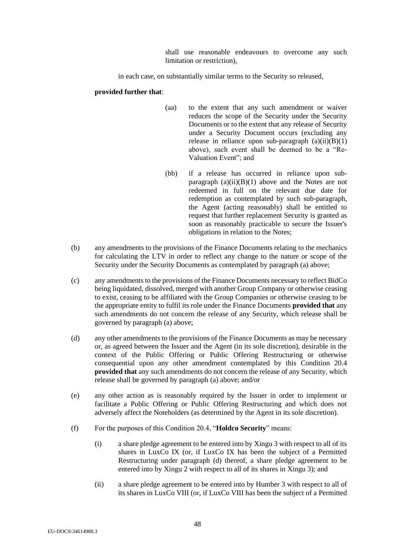shall use reasonable endeavours to overcome any such limitation or restriction),

in each case, on substantially similar terms to the Security so released,

## **provided further that**:

- (aa) to the extent that any such amendment or waiver reduces the scope of the Security under the Security Documents or to the extent that any release of Security under a Security Document occurs (excluding any release in reliance upon sub-paragraph  $(a)(ii)(B)(1)$  $(a)(ii)(B)(1)$  $(a)(ii)(B)(1)$  $(a)(ii)(B)(1)$ above), such event shall be deemed to be a "Re-Valuation Event"; and
- (bb) if a release has occurred in reliance upon subparagraph  $(a)(ii)(B)(1)$  $(a)(ii)(B)(1)$  $(a)(ii)(B)(1)$  $(a)(ii)(B)(1)$  above and the Notes are not redeemed in full on the relevant due date for redemption as contemplated by such sub-paragraph, the Agent (acting reasonably) shall be entitled to request that further replacement Security is granted as soon as reasonably practicable to secure the Issuer's obligations in relation to the Notes;
- (b) any amendments to the provisions of the Finance Documents relating to the mechanics for calculating the LTV in order to reflect any change to the nature or scope of the Security under the Security Documents as contemplated by paragraph [\(a\)](#page-46-3) above;
- (c) any amendments to the provisions of the Finance Documents necessary to reflect BidCo being liquidated, dissolved, merged with another Group Company or otherwise ceasing to exist, ceasing to be affiliated with the Group Companies or otherwise ceasing to be the appropriate entity to fulfil its role under the Finance Documents **provided that** any such amendments do not concern the release of any Security, which release shall be governed by paragraph [\(a\)](#page-46-3) above;
- (d) any other amendments to the provisions of the Finance Documents as may be necessary or, as agreed between the Issuer and the Agent (in its sole discretion), desirable in the context of the Public Offering or Public Offering Restructuring or otherwise consequential upon any other amendment contemplated by this Condition [20.4](#page-46-0) **provided that** any such amendments do not concern the release of any Security, which release shall be governed by paragraph [\(a\)](#page-46-3) above; and/or
- (e) any other action as is reasonably required by the Issuer in order to implement or facilitate a Public Offering or Public Offering Restructuring and which does not adversely affect the Noteholders (as determined by the Agent in its sole discretion).
- (f) For the purposes of this Condition 20.4, "**Holdco Security**" means:
	- (i) a share pledge agreement to be entered into by Xingu 3 with respect to all of its shares in LuxCo IX (or, if LuxCo IX has been the subject of a Permitted Restructuring under paragraph [\(d\)](#page-16-0) thereof, a share pledge agreement to be entered into by Xingu 2 with respect to all of its shares in Xingu 3); and
	- (ii) a share pledge agreement to be entered into by Humber 3 with respect to all of its shares in LuxCo VIII (or, if LuxCo VIII has been the subject of a Permitted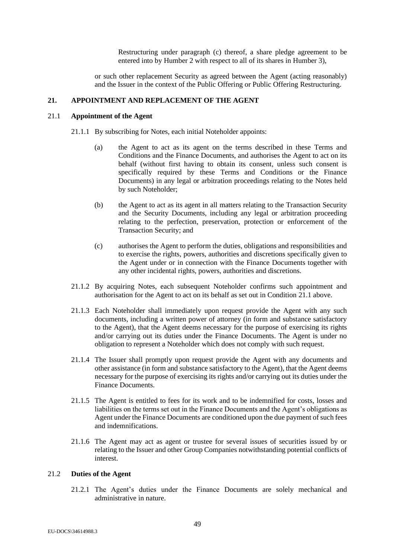Restructuring under paragraph [\(c\)](#page-16-1) thereof, a share pledge agreement to be entered into by Humber 2 with respect to all of its shares in Humber 3),

<span id="page-48-0"></span>or such other replacement Security as agreed between the Agent (acting reasonably) and the Issuer in the context of the Public Offering or Public Offering Restructuring.

#### **21. APPOINTMENT AND REPLACEMENT OF THE AGENT**

# 21.1 **Appointment of the Agent**

- 21.1.1 By subscribing for Notes, each initial Noteholder appoints:
	- (a) the Agent to act as its agent on the terms described in these Terms and Conditions and the Finance Documents, and authorises the Agent to act on its behalf (without first having to obtain its consent, unless such consent is specifically required by these Terms and Conditions or the Finance Documents) in any legal or arbitration proceedings relating to the Notes held by such Noteholder;
	- (b) the Agent to act as its agent in all matters relating to the Transaction Security and the Security Documents, including any legal or arbitration proceeding relating to the perfection, preservation, protection or enforcement of the Transaction Security; and
	- (c) authorises the Agent to perform the duties, obligations and responsibilities and to exercise the rights, powers, authorities and discretions specifically given to the Agent under or in connection with the Finance Documents together with any other incidental rights, powers, authorities and discretions.
- 21.1.2 By acquiring Notes, each subsequent Noteholder confirms such appointment and authorisation for the Agent to act on its behalf as set out in Condition [21.1](#page-48-0) above.
- 21.1.3 Each Noteholder shall immediately upon request provide the Agent with any such documents, including a written power of attorney (in form and substance satisfactory to the Agent), that the Agent deems necessary for the purpose of exercising its rights and/or carrying out its duties under the Finance Documents. The Agent is under no obligation to represent a Noteholder which does not comply with such request.
- 21.1.4 The Issuer shall promptly upon request provide the Agent with any documents and other assistance (in form and substance satisfactory to the Agent), that the Agent deems necessary for the purpose of exercising its rights and/or carrying out its duties under the Finance Documents.
- 21.1.5 The Agent is entitled to fees for its work and to be indemnified for costs, losses and liabilities on the terms set out in the Finance Documents and the Agent's obligations as Agent under the Finance Documents are conditioned upon the due payment of such fees and indemnifications.
- 21.1.6 The Agent may act as agent or trustee for several issues of securities issued by or relating to the Issuer and other Group Companies notwithstanding potential conflicts of interest.

# 21.2 **Duties of the Agent**

21.2.1 The Agent's duties under the Finance Documents are solely mechanical and administrative in nature.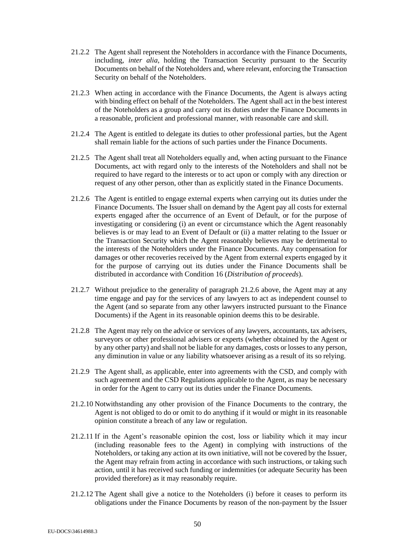- 21.2.2 The Agent shall represent the Noteholders in accordance with the Finance Documents, including, *inter alia*, holding the Transaction Security pursuant to the Security Documents on behalf of the Noteholders and, where relevant, enforcing the Transaction Security on behalf of the Noteholders.
- 21.2.3 When acting in accordance with the Finance Documents, the Agent is always acting with binding effect on behalf of the Noteholders. The Agent shall act in the best interest of the Noteholders as a group and carry out its duties under the Finance Documents in a reasonable, proficient and professional manner, with reasonable care and skill.
- 21.2.4 The Agent is entitled to delegate its duties to other professional parties, but the Agent shall remain liable for the actions of such parties under the Finance Documents.
- 21.2.5 The Agent shall treat all Noteholders equally and, when acting pursuant to the Finance Documents, act with regard only to the interests of the Noteholders and shall not be required to have regard to the interests or to act upon or comply with any direction or request of any other person, other than as explicitly stated in the Finance Documents.
- <span id="page-49-0"></span>21.2.6 The Agent is entitled to engage external experts when carrying out its duties under the Finance Documents. The Issuer shall on demand by the Agent pay all costs for external experts engaged after the occurrence of an Event of Default, or for the purpose of investigating or considering (i) an event or circumstance which the Agent reasonably believes is or may lead to an Event of Default or (ii) a matter relating to the Issuer or the Transaction Security which the Agent reasonably believes may be detrimental to the interests of the Noteholders under the Finance Documents. Any compensation for damages or other recoveries received by the Agent from external experts engaged by it for the purpose of carrying out its duties under the Finance Documents shall be distributed in accordance with Condition [16](#page-40-1) (*Distribution of proceeds*).
- 21.2.7 Without prejudice to the generality of paragraph [21.2.6](#page-49-0) above, the Agent may at any time engage and pay for the services of any lawyers to act as independent counsel to the Agent (and so separate from any other lawyers instructed pursuant to the Finance Documents) if the Agent in its reasonable opinion deems this to be desirable.
- 21.2.8 The Agent may rely on the advice or services of any lawyers, accountants, tax advisers, surveyors or other professional advisers or experts (whether obtained by the Agent or by any other party) and shall not be liable for any damages, costs or losses to any person, any diminution in value or any liability whatsoever arising as a result of its so relying.
- 21.2.9 The Agent shall, as applicable, enter into agreements with the CSD, and comply with such agreement and the CSD Regulations applicable to the Agent, as may be necessary in order for the Agent to carry out its duties under the Finance Documents.
- 21.2.10 Notwithstanding any other provision of the Finance Documents to the contrary, the Agent is not obliged to do or omit to do anything if it would or might in its reasonable opinion constitute a breach of any law or regulation.
- <span id="page-49-1"></span>21.2.11 If in the Agent's reasonable opinion the cost, loss or liability which it may incur (including reasonable fees to the Agent) in complying with instructions of the Noteholders, or taking any action at its own initiative, will not be covered by the Issuer, the Agent may refrain from acting in accordance with such instructions, or taking such action, until it has received such funding or indemnities (or adequate Security has been provided therefore) as it may reasonably require.
- 21.2.12 The Agent shall give a notice to the Noteholders (i) before it ceases to perform its obligations under the Finance Documents by reason of the non-payment by the Issuer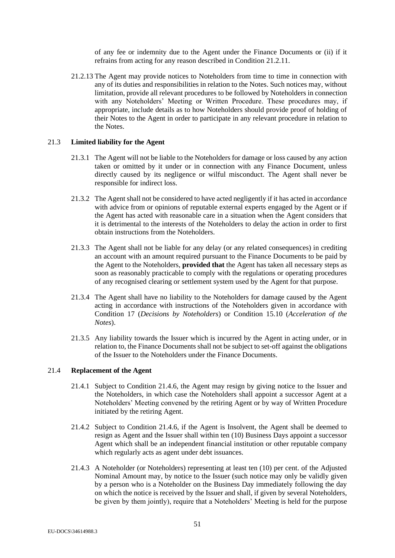of any fee or indemnity due to the Agent under the Finance Documents or (ii) if it refrains from acting for any reason described in Condition [21.2.11.](#page-49-1)

21.2.13 The Agent may provide notices to Noteholders from time to time in connection with any of its duties and responsibilities in relation to the Notes. Such notices may, without limitation, provide all relevant procedures to be followed by Noteholders in connection with any Noteholders' Meeting or Written Procedure. These procedures may, if appropriate, include details as to how Noteholders should provide proof of holding of their Notes to the Agent in order to participate in any relevant procedure in relation to the Notes.

#### 21.3 **Limited liability for the Agent**

- 21.3.1 The Agent will not be liable to the Noteholders for damage or loss caused by any action taken or omitted by it under or in connection with any Finance Document, unless directly caused by its negligence or wilful misconduct. The Agent shall never be responsible for indirect loss.
- 21.3.2 The Agent shall not be considered to have acted negligently if it has acted in accordance with advice from or opinions of reputable external experts engaged by the Agent or if the Agent has acted with reasonable care in a situation when the Agent considers that it is detrimental to the interests of the Noteholders to delay the action in order to first obtain instructions from the Noteholders.
- 21.3.3 The Agent shall not be liable for any delay (or any related consequences) in crediting an account with an amount required pursuant to the Finance Documents to be paid by the Agent to the Noteholders, **provided that** the Agent has taken all necessary steps as soon as reasonably practicable to comply with the regulations or operating procedures of any recognised clearing or settlement system used by the Agent for that purpose.
- 21.3.4 The Agent shall have no liability to the Noteholders for damage caused by the Agent acting in accordance with instructions of the Noteholders given in accordance with Condition [17](#page-41-0) (*Decisions by Noteholders*) or Condition [15.10](#page-40-4) (*Acceleration of the Notes*).
- 21.3.5 Any liability towards the Issuer which is incurred by the Agent in acting under, or in relation to, the Finance Documents shall not be subject to set-off against the obligations of the Issuer to the Noteholders under the Finance Documents.

# <span id="page-50-1"></span>21.4 **Replacement of the Agent**

- 21.4.1 Subject to Condition [21.4.6,](#page-51-0) the Agent may resign by giving notice to the Issuer and the Noteholders, in which case the Noteholders shall appoint a successor Agent at a Noteholders' Meeting convened by the retiring Agent or by way of Written Procedure initiated by the retiring Agent.
- 21.4.2 Subject to Condition [21.4.6,](#page-51-0) if the Agent is Insolvent, the Agent shall be deemed to resign as Agent and the Issuer shall within ten (10) Business Days appoint a successor Agent which shall be an independent financial institution or other reputable company which regularly acts as agent under debt issuances.
- <span id="page-50-0"></span>21.4.3 A Noteholder (or Noteholders) representing at least ten (10) per cent. of the Adjusted Nominal Amount may, by notice to the Issuer (such notice may only be validly given by a person who is a Noteholder on the Business Day immediately following the day on which the notice is received by the Issuer and shall, if given by several Noteholders, be given by them jointly), require that a Noteholders' Meeting is held for the purpose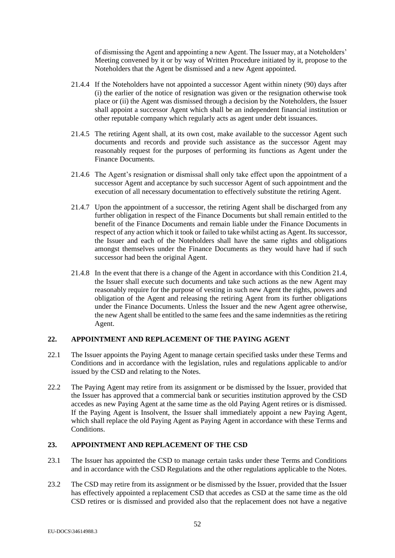of dismissing the Agent and appointing a new Agent. The Issuer may, at a Noteholders' Meeting convened by it or by way of Written Procedure initiated by it, propose to the Noteholders that the Agent be dismissed and a new Agent appointed.

- 21.4.4 If the Noteholders have not appointed a successor Agent within ninety (90) days after (i) the earlier of the notice of resignation was given or the resignation otherwise took place or (ii) the Agent was dismissed through a decision by the Noteholders, the Issuer shall appoint a successor Agent which shall be an independent financial institution or other reputable company which regularly acts as agent under debt issuances.
- 21.4.5 The retiring Agent shall, at its own cost, make available to the successor Agent such documents and records and provide such assistance as the successor Agent may reasonably request for the purposes of performing its functions as Agent under the Finance Documents.
- <span id="page-51-0"></span>21.4.6 The Agent's resignation or dismissal shall only take effect upon the appointment of a successor Agent and acceptance by such successor Agent of such appointment and the execution of all necessary documentation to effectively substitute the retiring Agent.
- 21.4.7 Upon the appointment of a successor, the retiring Agent shall be discharged from any further obligation in respect of the Finance Documents but shall remain entitled to the benefit of the Finance Documents and remain liable under the Finance Documents in respect of any action which it took or failed to take whilst acting as Agent. Its successor, the Issuer and each of the Noteholders shall have the same rights and obligations amongst themselves under the Finance Documents as they would have had if such successor had been the original Agent.
- 21.4.8 In the event that there is a change of the Agent in accordance with this Condition [21.4,](#page-50-1) the Issuer shall execute such documents and take such actions as the new Agent may reasonably require for the purpose of vesting in such new Agent the rights, powers and obligation of the Agent and releasing the retiring Agent from its further obligations under the Finance Documents. Unless the Issuer and the new Agent agree otherwise, the new Agent shall be entitled to the same fees and the same indemnities as the retiring Agent.

# **22. APPOINTMENT AND REPLACEMENT OF THE PAYING AGENT**

- 22.1 The Issuer appoints the Paying Agent to manage certain specified tasks under these Terms and Conditions and in accordance with the legislation, rules and regulations applicable to and/or issued by the CSD and relating to the Notes.
- 22.2 The Paying Agent may retire from its assignment or be dismissed by the Issuer, provided that the Issuer has approved that a commercial bank or securities institution approved by the CSD accedes as new Paying Agent at the same time as the old Paying Agent retires or is dismissed. If the Paying Agent is Insolvent, the Issuer shall immediately appoint a new Paying Agent, which shall replace the old Paying Agent as Paying Agent in accordance with these Terms and Conditions.

# **23. APPOINTMENT AND REPLACEMENT OF THE CSD**

- 23.1 The Issuer has appointed the CSD to manage certain tasks under these Terms and Conditions and in accordance with the CSD Regulations and the other regulations applicable to the Notes.
- 23.2 The CSD may retire from its assignment or be dismissed by the Issuer, provided that the Issuer has effectively appointed a replacement CSD that accedes as CSD at the same time as the old CSD retires or is dismissed and provided also that the replacement does not have a negative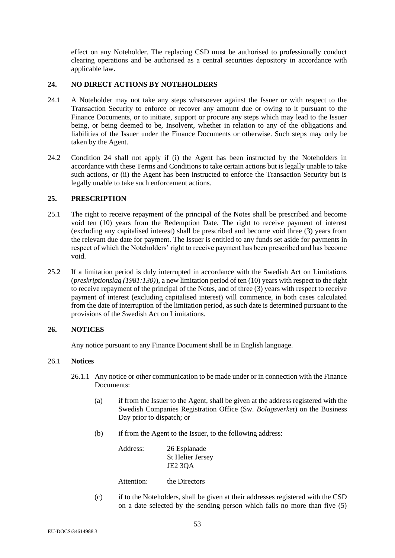<span id="page-52-0"></span>effect on any Noteholder. The replacing CSD must be authorised to professionally conduct clearing operations and be authorised as a central securities depository in accordance with applicable law.

# **24. NO DIRECT ACTIONS BY NOTEHOLDERS**

- 24.1 A Noteholder may not take any steps whatsoever against the Issuer or with respect to the Transaction Security to enforce or recover any amount due or owing to it pursuant to the Finance Documents, or to initiate, support or procure any steps which may lead to the Issuer being, or being deemed to be, Insolvent, whether in relation to any of the obligations and liabilities of the Issuer under the Finance Documents or otherwise. Such steps may only be taken by the Agent.
- 24.2 Condition [24](#page-52-0) shall not apply if (i) the Agent has been instructed by the Noteholders in accordance with these Terms and Conditions to take certain actions but is legally unable to take such actions, or (ii) the Agent has been instructed to enforce the Transaction Security but is legally unable to take such enforcement actions.

# **25. PRESCRIPTION**

- 25.1 The right to receive repayment of the principal of the Notes shall be prescribed and become void ten (10) years from the Redemption Date. The right to receive payment of interest (excluding any capitalised interest) shall be prescribed and become void three (3) years from the relevant due date for payment. The Issuer is entitled to any funds set aside for payments in respect of which the Noteholders' right to receive payment has been prescribed and has become void.
- 25.2 If a limitation period is duly interrupted in accordance with the Swedish Act on Limitations (*preskriptionslag (1981:130)*), a new limitation period of ten (10) years with respect to the right to receive repayment of the principal of the Notes, and of three (3) years with respect to receive payment of interest (excluding capitalised interest) will commence, in both cases calculated from the date of interruption of the limitation period, as such date is determined pursuant to the provisions of the Swedish Act on Limitations.

# **26. NOTICES**

<span id="page-52-1"></span>Any notice pursuant to any Finance Document shall be in English language.

# 26.1 **Notices**

- 26.1.1 Any notice or other communication to be made under or in connection with the Finance Documents:
	- (a) if from the Issuer to the Agent, shall be given at the address registered with the Swedish Companies Registration Office (Sw. *Bolagsverket*) on the Business Day prior to dispatch; or
	- (b) if from the Agent to the Issuer, to the following address:

Address: 26 Esplanade St Helier Jersey JE2 3QA

Attention: the Directors

(c) if to the Noteholders, shall be given at their addresses registered with the CSD on a date selected by the sending person which falls no more than five (5)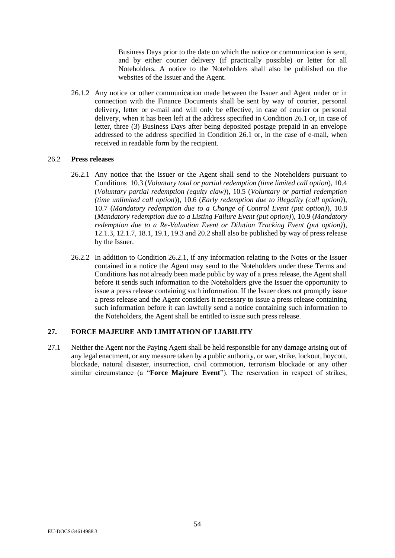Business Days prior to the date on which the notice or communication is sent, and by either courier delivery (if practically possible) or letter for all Noteholders. A notice to the Noteholders shall also be published on the websites of the Issuer and the Agent.

26.1.2 Any notice or other communication made between the Issuer and Agent under or in connection with the Finance Documents shall be sent by way of courier, personal delivery, letter or e-mail and will only be effective, in case of courier or personal delivery, when it has been left at the address specified in Condition [26.1](#page-52-1) or, in case of letter, three (3) Business Days after being deposited postage prepaid in an envelope addressed to the address specified in Condition [26.1](#page-52-1) or, in the case of e-mail, when received in readable form by the recipient.

#### <span id="page-53-2"></span><span id="page-53-1"></span>26.2 **Press releases**

- 26.2.1 Any notice that the Issuer or the Agent shall send to the Noteholders pursuant to Conditions [10.3](#page-26-2) (*Voluntary total or partial redemption (time limited call option*), [10.4](#page-27-2) (*Voluntary partial redemption (equity claw)*), [10.5](#page-27-0) (*Voluntary or partial redemption (time unlimited call option*)), [10.6](#page-28-1) (*Early redemption due to illegality (call option)*), [10.7](#page-29-3) (*Mandatory redemption due to a Change of Control Event (put option)*), [10.8](#page-29-4) (*Mandatory redemption due to a Listing Failure Event (put option)*)[, 10.9](#page-30-4) (*Mandatory redemption due to a Re-Valuation Event or Dilution Tracking Event (put option)*), [12.1.3,](#page-32-0) [12.1.7,](#page-33-1) [18.1,](#page-44-2) [19.1,](#page-45-5) [19.3](#page-45-6) and [20.2](#page-46-6) shall also be published by way of press release by the Issuer.
- 26.2.2 In addition to Condition [26.2.1,](#page-53-2) if any information relating to the Notes or the Issuer contained in a notice the Agent may send to the Noteholders under these Terms and Conditions has not already been made public by way of a press release, the Agent shall before it sends such information to the Noteholders give the Issuer the opportunity to issue a press release containing such information. If the Issuer does not promptly issue a press release and the Agent considers it necessary to issue a press release containing such information before it can lawfully send a notice containing such information to the Noteholders, the Agent shall be entitled to issue such press release.

# <span id="page-53-3"></span>**27. FORCE MAJEURE AND LIMITATION OF LIABILITY**

<span id="page-53-0"></span>27.1 Neither the Agent nor the Paying Agent shall be held responsible for any damage arising out of any legal enactment, or any measure taken by a public authority, or war, strike, lockout, boycott, blockade, natural disaster, insurrection, civil commotion, terrorism blockade or any other similar circumstance (a "**Force Majeure Event**"). The reservation in respect of strikes,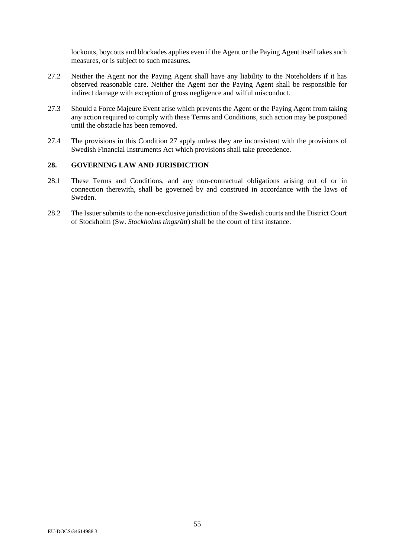lockouts, boycotts and blockades applies even if the Agent or the Paying Agent itself takes such measures, or is subject to such measures.

- 27.2 Neither the Agent nor the Paying Agent shall have any liability to the Noteholders if it has observed reasonable care. Neither the Agent nor the Paying Agent shall be responsible for indirect damage with exception of gross negligence and wilful misconduct.
- 27.3 Should a Force Majeure Event arise which prevents the Agent or the Paying Agent from taking any action required to comply with these Terms and Conditions, such action may be postponed until the obstacle has been removed.
- 27.4 The provisions in this Condition [27](#page-53-3) apply unless they are inconsistent with the provisions of Swedish Financial Instruments Act which provisions shall take precedence.

# **28. GOVERNING LAW AND JURISDICTION**

- 28.1 These Terms and Conditions, and any non-contractual obligations arising out of or in connection therewith, shall be governed by and construed in accordance with the laws of Sweden.
- 28.2 The Issuer submits to the non-exclusive jurisdiction of the Swedish courts and the District Court of Stockholm (Sw. *Stockholms tingsrätt*) shall be the court of first instance.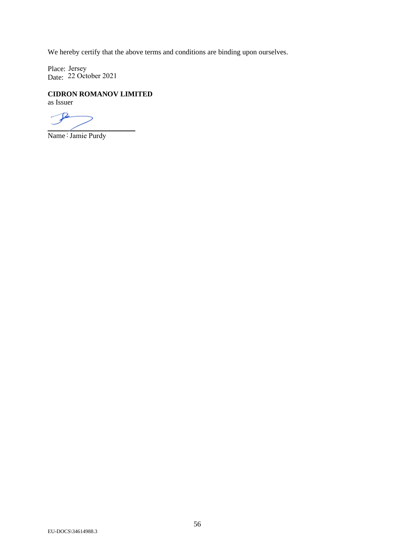We hereby certify that the above terms and conditions are binding upon ourselves.

Place: Date: Jersey 22 October 2021

# **CIDRON ROMANOV LIMITED**

as Issuer

 $\sqrt{2}$  $\overline{\phantom{a}}$ 

Name : Jamie Purdy